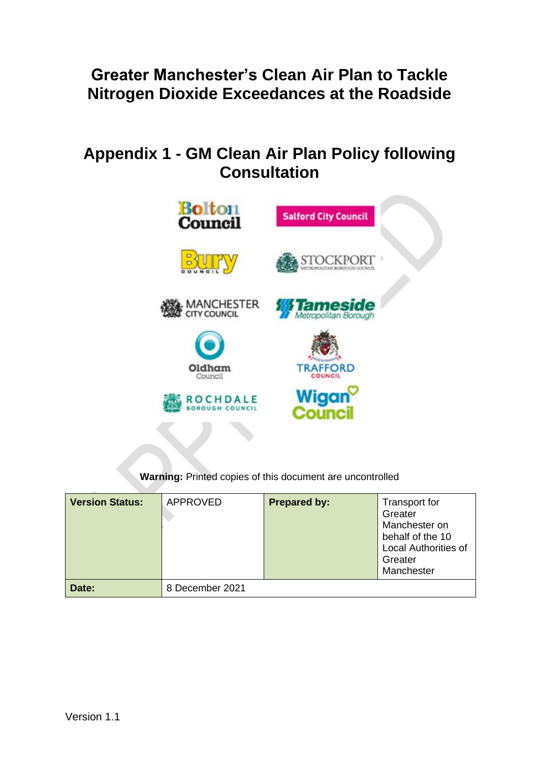## **Greater Manchester's Clean Air Plan to Tackle Nitrogen Dioxide Exceedances at the Roadside**

# **Appendix 1 - GM Clean Air Plan Policy following Consultation**



**Warning:** Printed copies of this document are uncontrolled

| <b>Version Status:</b> | APPROVED        | <b>Prepared by:</b> | Transport for<br>Greater<br>Manchester on<br>behalf of the 10<br><b>Local Authorities of</b><br>Greater<br>Manchester |
|------------------------|-----------------|---------------------|-----------------------------------------------------------------------------------------------------------------------|
| Date:                  | 8 December 2021 |                     |                                                                                                                       |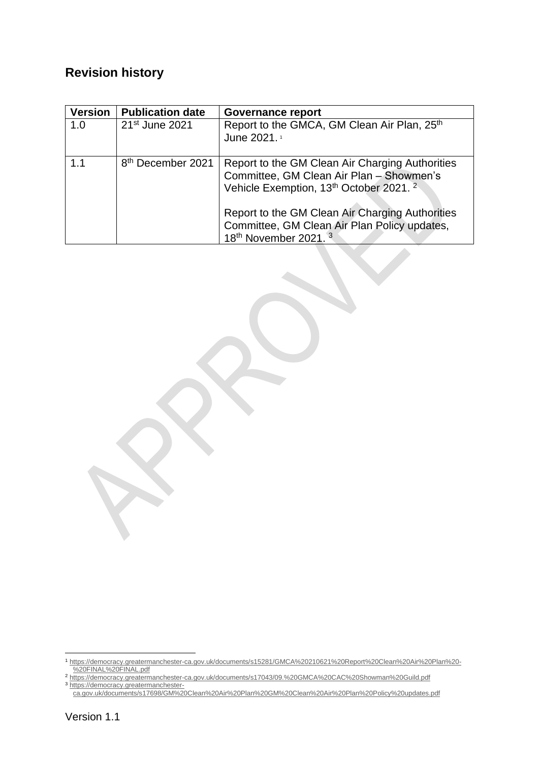### **Revision history**

| <b>Version</b> | <b>Publication date</b>       | <b>Governance report</b>                                                                                                                          |
|----------------|-------------------------------|---------------------------------------------------------------------------------------------------------------------------------------------------|
| 1.0            | 21 <sup>st</sup> June 2021    | Report to the GMCA, GM Clean Air Plan, 25th<br>June 2021. <sup>1</sup>                                                                            |
| 1.1            | 8 <sup>th</sup> December 2021 | Report to the GM Clean Air Charging Authorities<br>Committee, GM Clean Air Plan - Showmen's<br>Vehicle Exemption, 13th October 2021. <sup>2</sup> |
|                |                               | Report to the GM Clean Air Charging Authorities<br>Committee, GM Clean Air Plan Policy updates,<br>18th November 2021. <sup>3</sup>               |

<sup>1</sup> [https://democracy.greatermanchester-ca.gov.uk/documents/s15281/GMCA%20210621%20Report%20Clean%20Air%20Plan%20-](https://democracy.greatermanchester-ca.gov.uk/documents/s15281/GMCA%20210621%20Report%20Clean%20Air%20Plan%20-%20FINAL%20FINAL.pdf) [%20FINAL%20FINAL.pdf](https://democracy.greatermanchester-ca.gov.uk/documents/s15281/GMCA%20210621%20Report%20Clean%20Air%20Plan%20-%20FINAL%20FINAL.pdf) <sup>2</sup> <https://democracy.greatermanchester-ca.gov.uk/documents/s17043/09.%20GMCA%20CAC%20Showman%20Guild.pdf>

<sup>3</sup> [https://democracy.greatermanchester](https://democracy.greatermanchester-ca.gov.uk/documents/s17698/GM%20Clean%20Air%20Plan%20GM%20Clean%20Air%20Plan%20Policy%20updates.pdf)[ca.gov.uk/documents/s17698/GM%20Clean%20Air%20Plan%20GM%20Clean%20Air%20Plan%20Policy%20updates.pdf](https://democracy.greatermanchester-ca.gov.uk/documents/s17698/GM%20Clean%20Air%20Plan%20GM%20Clean%20Air%20Plan%20Policy%20updates.pdf)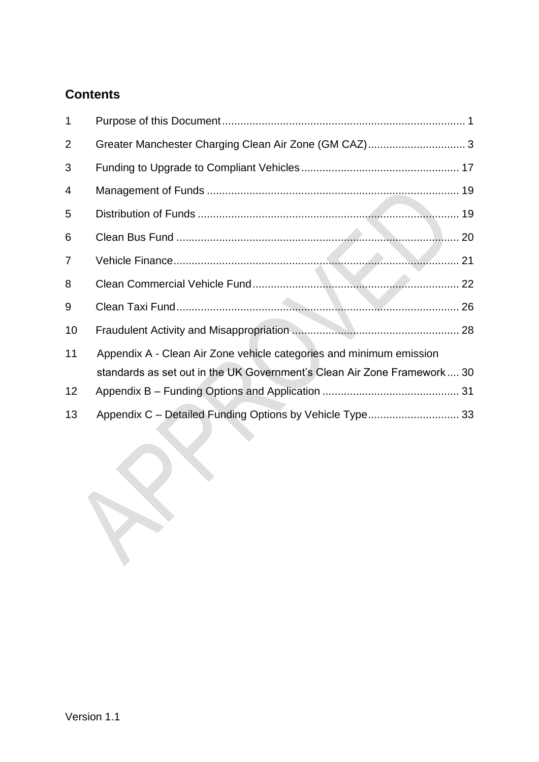### **Contents**

| 1              |                                                                         |  |
|----------------|-------------------------------------------------------------------------|--|
| $\overline{2}$ | Greater Manchester Charging Clean Air Zone (GM CAZ) 3                   |  |
| 3              |                                                                         |  |
| 4              |                                                                         |  |
| 5              |                                                                         |  |
| 6              |                                                                         |  |
| $\overline{7}$ |                                                                         |  |
| 8              |                                                                         |  |
| 9              |                                                                         |  |
| 10             |                                                                         |  |
| 11             | Appendix A - Clean Air Zone vehicle categories and minimum emission     |  |
|                | standards as set out in the UK Government's Clean Air Zone Framework 30 |  |
| 12             |                                                                         |  |
| 13             | Appendix C - Detailed Funding Options by Vehicle Type 33                |  |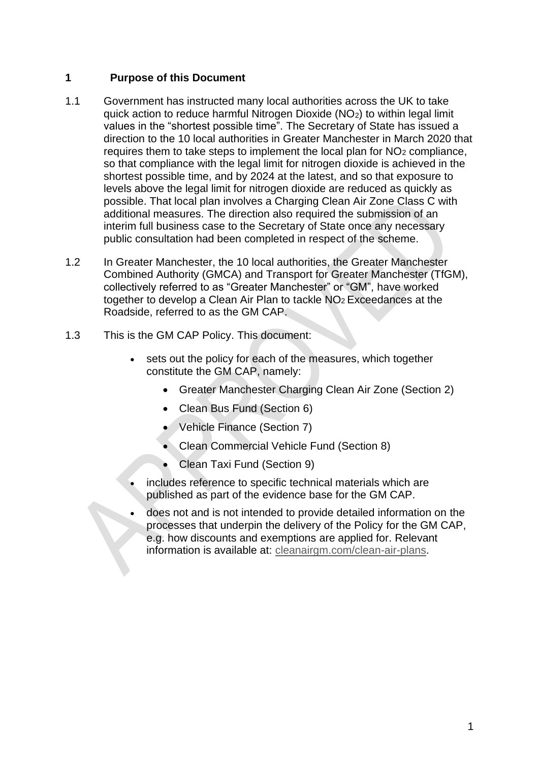#### **1 Purpose of this Document**

- 1.1 Government has instructed many local authorities across the UK to take quick action to reduce harmful Nitrogen Dioxide (NO2) to within legal limit values in the "shortest possible time". The Secretary of State has issued a direction to the 10 local authorities in Greater Manchester in March 2020 that requires them to take steps to implement the local plan for  $NO<sub>2</sub>$  compliance, so that compliance with the legal limit for nitrogen dioxide is achieved in the shortest possible time, and by 2024 at the latest, and so that exposure to levels above the legal limit for nitrogen dioxide are reduced as quickly as possible. That local plan involves a Charging Clean Air Zone Class C with additional measures. The direction also required the submission of an interim full business case to the Secretary of State once any necessary public consultation had been completed in respect of the scheme.
- 1.2 In Greater Manchester, the 10 local authorities, the Greater Manchester Combined Authority (GMCA) and Transport for Greater Manchester (TfGM), collectively referred to as "Greater Manchester" or "GM", have worked together to develop a Clean Air Plan to tackle NO<sup>2</sup> Exceedances at the Roadside, referred to as the GM CAP.
- 1.3 This is the GM CAP Policy. This document:
	- sets out the policy for each of the measures, which together constitute the GM CAP, namely:
		- Greater Manchester Charging Clean Air Zone (Section 2)
		- Clean Bus Fund (Section 6)
		- Vehicle Finance (Section 7)
		- Clean Commercial Vehicle Fund (Section 8)
		- Clean Taxi Fund (Section 9)
	- includes reference to specific technical materials which are published as part of the evidence base for the GM CAP.
	- does not and is not intended to provide detailed information on the processes that underpin the delivery of the Policy for the GM CAP, e.g. how discounts and exemptions are applied for. Relevant information is available at: [cleanairgm.com/clean-air-plans.](https://cleanairgm.com/clean-air-plans)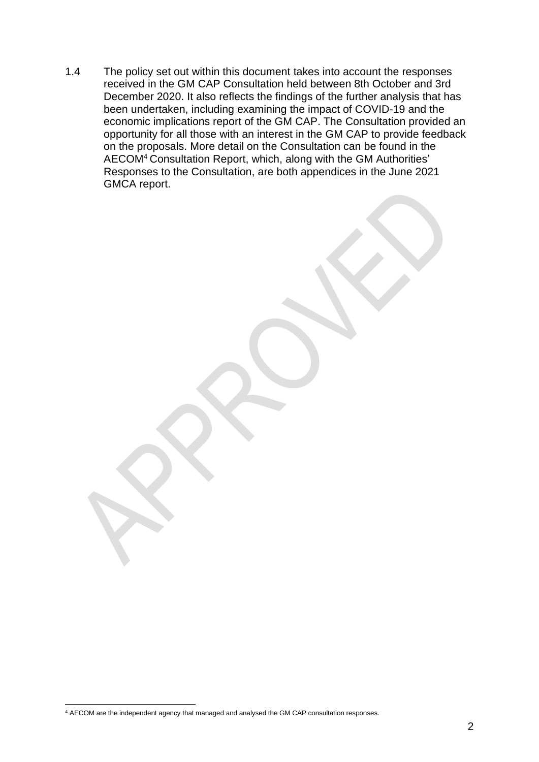1.4 The policy set out within this document takes into account the responses received in the GM CAP Consultation held between 8th October and 3rd December 2020. It also reflects the findings of the further analysis that has been undertaken, including examining the impact of COVID-19 and the economic implications report of the GM CAP. The Consultation provided an opportunity for all those with an interest in the GM CAP to provide feedback on the proposals. More detail on the Consultation can be found in the AECOM<sup>4</sup> Consultation Report, which, along with the GM Authorities' Responses to the Consultation, are both appendices in the June 2021 GMCA report.

<sup>4</sup> AECOM are the independent agency that managed and analysed the GM CAP consultation responses.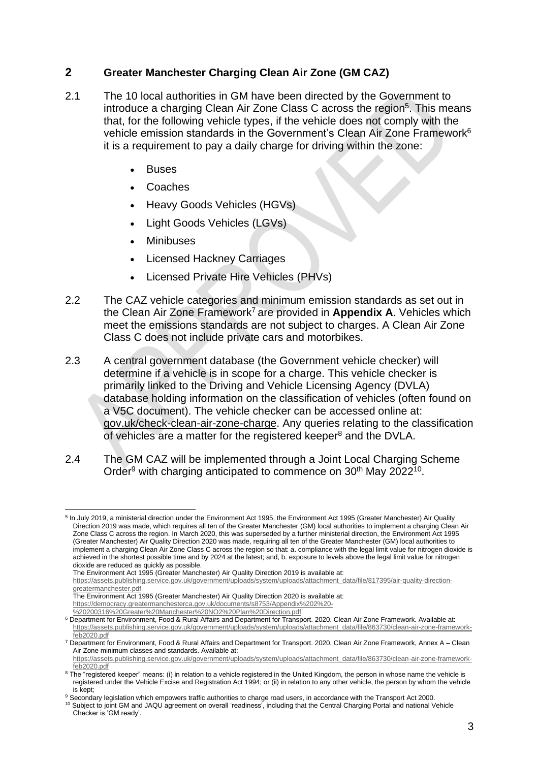#### **2 Greater Manchester Charging Clean Air Zone (GM CAZ)**

- 2.1 The 10 local authorities in GM have been directed by the Government to introduce a charging Clean Air Zone Class C across the region<sup>5</sup>. This means that, for the following vehicle types, if the vehicle does not comply with the vehicle emission standards in the Government's Clean Air Zone Framework<sup>6</sup> it is a requirement to pay a daily charge for driving within the zone:
	- **Buses**
	- Coaches
	- Heavy Goods Vehicles (HGVs)
	- Light Goods Vehicles (LGVs)
	- **Minibuses**
	- Licensed Hackney Carriages
	- Licensed Private Hire Vehicles (PHVs)
- 2.2 The CAZ vehicle categories and minimum emission standards as set out in the Clean Air Zone Framework<sup>7</sup> are provided in **Appendix A**. Vehicles which meet the emissions standards are not subject to charges. A Clean Air Zone Class C does not include private cars and motorbikes.
- 2.3 A central government database (the Government vehicle checker) will determine if a vehicle is in scope for a charge. This vehicle checker is primarily linked to the Driving and Vehicle Licensing Agency (DVLA) database holding information on the classification of vehicles (often found on a V5C document). The vehicle checker can be accessed online at: [gov.uk/check-clean-air-zone-charge.](https://www.gov.uk/check-clean-air-zone-charge) Any queries relating to the classification of vehicles are a matter for the registered keeper<sup>8</sup> and the DVLA.
- 2.4 The GM CAZ will be implemented through a Joint Local Charging Scheme Order<sup>9</sup> with charging anticipated to commence on 30<sup>th</sup> May 2022<sup>10</sup>.

<sup>&</sup>lt;sup>5</sup> In July 2019, a ministerial direction under the Environment Act 1995, the Environment Act 1995 (Greater Manchester) Air Quality Direction 2019 was made, which requires all ten of the Greater Manchester (GM) local authorities to implement a charging Clean Air Zone Class C across the region. In March 2020, this was superseded by a further ministerial direction, the Environment Act 1995 (Greater Manchester) Air Quality Direction 2020 was made, requiring all ten of the Greater Manchester (GM) local authorities to implement a charging Clean Air Zone Class C across the region so that: a. compliance with the legal limit value for nitrogen dioxide is achieved in the shortest possible time and by 2024 at the latest; and, b. exposure to levels above the legal limit value for nitrogen dioxide are reduced as quickly as possible.

The Environment Act 1995 (Greater Manchester) Air Quality Direction 2019 is available at:

[https://assets.publishing.service.gov.uk/government/uploads/system/uploads/attachment\\_data/file/817395/air-quality-direction](https://assets.publishing.service.gov.uk/government/uploads/system/uploads/attachment_data/file/817395/air-quality-direction-greatermanchester.pdf)[greatermanchester.pdf](https://assets.publishing.service.gov.uk/government/uploads/system/uploads/attachment_data/file/817395/air-quality-direction-greatermanchester.pdf)

The Environment Act 1995 (Greater Manchester) Air Quality Direction 2020 is available at:

[https://democracy.greatermanchesterca.gov.uk/documents/s8753/Appendix%202%20-](https://democracy.greatermanchesterca.gov.uk/documents/s8753/Appendix%202%20-%20200316%20Greater%20Manchester%20NO2%20Plan%20Direction.pdf)

[<sup>%20200316%20</sup>Greater%20Manchester%20NO2%20Plan%20Direction.pdf](https://democracy.greatermanchesterca.gov.uk/documents/s8753/Appendix%202%20-%20200316%20Greater%20Manchester%20NO2%20Plan%20Direction.pdf)

<sup>6</sup> Department for Environment, Food & Rural Affairs and Department for Transport. 2020. Clean Air Zone Framework. Available at: [https://assets.publishing.service.gov.uk/government/uploads/system/uploads/attachment\\_data/file/863730/clean-air-zone-framework](https://assets.publishing.service.gov.uk/government/uploads/system/uploads/attachment_data/file/863730/clean-air-zone-framework-feb2020.pdf)[feb2020.pdf](https://assets.publishing.service.gov.uk/government/uploads/system/uploads/attachment_data/file/863730/clean-air-zone-framework-feb2020.pdf)

<sup>7</sup> Department for Environment, Food & Rural Affairs and Department for Transport. 2020. Clean Air Zone Framework, Annex A – Clean Air Zone minimum classes and standards. Available at:

[https://assets.publishing.service.gov.uk/government/uploads/system/uploads/attachment\\_data/file/863730/clean-air-zone-framework](https://assets.publishing.service.gov.uk/government/uploads/system/uploads/attachment_data/file/863730/clean-air-zone-framework-feb2020.pdf)[feb2020.pdf](https://assets.publishing.service.gov.uk/government/uploads/system/uploads/attachment_data/file/863730/clean-air-zone-framework-feb2020.pdf)

<sup>&</sup>lt;sup>8</sup> The "registered keeper" means: (i) in relation to a vehicle registered in the United Kingdom, the person in whose name the vehicle is registered under the Vehicle Excise and Registration Act 1994; or (ii) in relation to any other vehicle, the person by whom the vehicle is kept;

<sup>9</sup> Secondary legislation which empowers traffic authorities to charge road users, in accordance with the Transport Act 2000. <sup>10</sup> Subject to joint GM and JAQU agreement on overall 'readiness', including that the Central Charging Portal and national Vehicle Checker is 'GM ready'.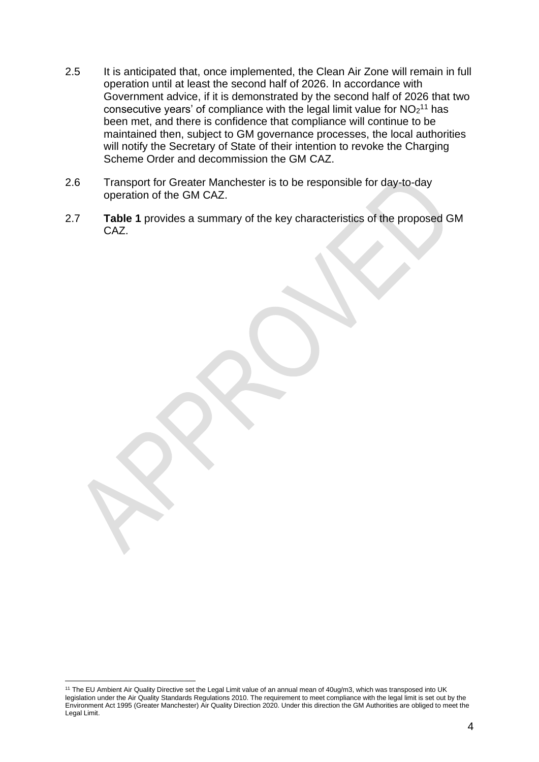- 2.5 It is anticipated that, once implemented, the Clean Air Zone will remain in full operation until at least the second half of 2026. In accordance with Government advice, if it is demonstrated by the second half of 2026 that two consecutive years' of compliance with the legal limit value for  $NO<sub>2</sub><sup>11</sup>$  has been met, and there is confidence that compliance will continue to be maintained then, subject to GM governance processes, the local authorities will notify the Secretary of State of their intention to revoke the Charging Scheme Order and decommission the GM CAZ.
- 2.6 Transport for Greater Manchester is to be responsible for day-to-day operation of the GM CAZ.
- 2.7 **Table 1** provides a summary of the key characteristics of the proposed GM CAZ.

<sup>11</sup> The EU Ambient Air Quality Directive set the Legal Limit value of an annual mean of 40ug/m3, which was transposed into UK legislation under the Air Quality Standards Regulations 2010. The requirement to meet compliance with the legal limit is set out by the Environment Act 1995 (Greater Manchester) Air Quality Direction 2020. Under this direction the GM Authorities are obliged to meet the Legal Limit.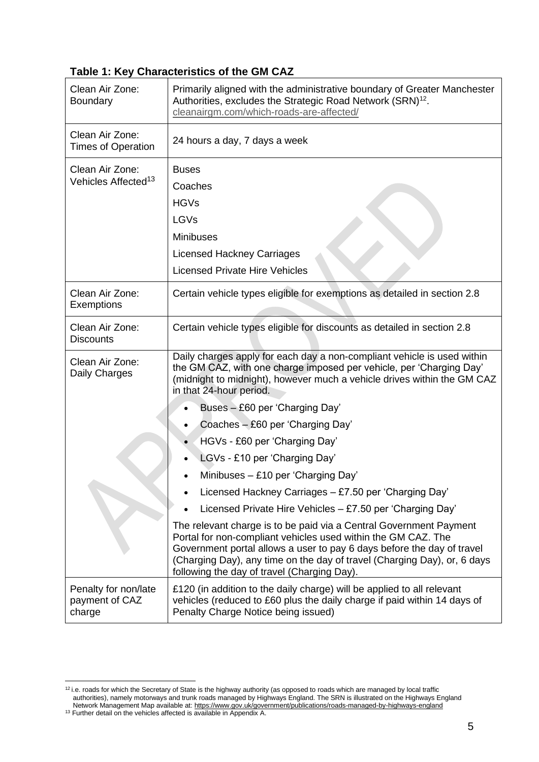#### **Table 1: Key Characteristics of the GM CAZ**

| Clean Air Zone:<br><b>Boundary</b>               | Primarily aligned with the administrative boundary of Greater Manchester<br>Authorities, excludes the Strategic Road Network (SRN) <sup>12</sup> .<br>cleanairgm.com/which-roads-are-affected/                                                                                                                                           |  |
|--------------------------------------------------|------------------------------------------------------------------------------------------------------------------------------------------------------------------------------------------------------------------------------------------------------------------------------------------------------------------------------------------|--|
| Clean Air Zone:<br><b>Times of Operation</b>     | 24 hours a day, 7 days a week                                                                                                                                                                                                                                                                                                            |  |
| Clean Air Zone:                                  | <b>Buses</b>                                                                                                                                                                                                                                                                                                                             |  |
| Vehicles Affected <sup>13</sup>                  | Coaches                                                                                                                                                                                                                                                                                                                                  |  |
|                                                  | <b>HGVs</b>                                                                                                                                                                                                                                                                                                                              |  |
|                                                  | LGVs                                                                                                                                                                                                                                                                                                                                     |  |
|                                                  | <b>Minibuses</b>                                                                                                                                                                                                                                                                                                                         |  |
|                                                  | <b>Licensed Hackney Carriages</b>                                                                                                                                                                                                                                                                                                        |  |
|                                                  | <b>Licensed Private Hire Vehicles</b>                                                                                                                                                                                                                                                                                                    |  |
| Clean Air Zone:<br>Exemptions                    | Certain vehicle types eligible for exemptions as detailed in section 2.8                                                                                                                                                                                                                                                                 |  |
| Clean Air Zone:<br><b>Discounts</b>              | Certain vehicle types eligible for discounts as detailed in section 2.8                                                                                                                                                                                                                                                                  |  |
| Clean Air Zone:<br>Daily Charges                 | Daily charges apply for each day a non-compliant vehicle is used within<br>the GM CAZ, with one charge imposed per vehicle, per 'Charging Day'<br>(midnight to midnight), however much a vehicle drives within the GM CAZ<br>in that 24-hour period.                                                                                     |  |
|                                                  | Buses - £60 per 'Charging Day'                                                                                                                                                                                                                                                                                                           |  |
|                                                  | Coaches - £60 per 'Charging Day'                                                                                                                                                                                                                                                                                                         |  |
|                                                  | HGVs - £60 per 'Charging Day'                                                                                                                                                                                                                                                                                                            |  |
|                                                  | LGVs - £10 per 'Charging Day'                                                                                                                                                                                                                                                                                                            |  |
|                                                  | Minibuses - £10 per 'Charging Day'                                                                                                                                                                                                                                                                                                       |  |
|                                                  | Licensed Hackney Carriages - £7.50 per 'Charging Day'                                                                                                                                                                                                                                                                                    |  |
|                                                  | Licensed Private Hire Vehicles - £7.50 per 'Charging Day'                                                                                                                                                                                                                                                                                |  |
|                                                  | The relevant charge is to be paid via a Central Government Payment<br>Portal for non-compliant vehicles used within the GM CAZ. The<br>Government portal allows a user to pay 6 days before the day of travel<br>(Charging Day), any time on the day of travel (Charging Day), or, 6 days<br>following the day of travel (Charging Day). |  |
| Penalty for non/late<br>payment of CAZ<br>charge | £120 (in addition to the daily charge) will be applied to all relevant<br>vehicles (reduced to £60 plus the daily charge if paid within 14 days of<br>Penalty Charge Notice being issued)                                                                                                                                                |  |

 $12$  i.e. roads for which the Secretary of State is the highway authority (as opposed to roads which are managed by local traffic authorities), namely motorways and trunk roads managed by Highways England. The SRN is illustrated on the Highways England Network Management Map available at: https://www.gov.uk/government/publications/roads-managed-by-highways-england

<sup>&</sup>lt;sup>13</sup> Further detail on the vehicles affected is available in Appendix A.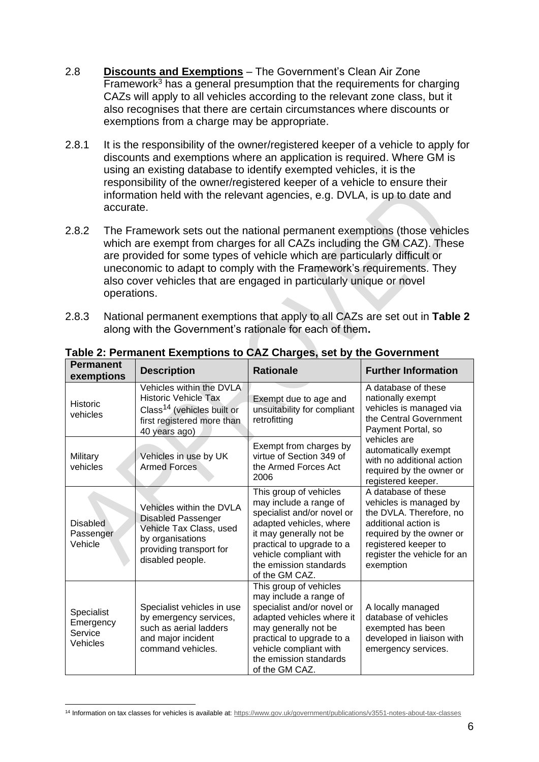- 2.8 **Discounts and Exemptions** The Government's Clean Air Zone Framework $3$  has a general presumption that the requirements for charging CAZs will apply to all vehicles according to the relevant zone class, but it also recognises that there are certain circumstances where discounts or exemptions from a charge may be appropriate.
- 2.8.1 It is the responsibility of the owner/registered keeper of a vehicle to apply for discounts and exemptions where an application is required. Where GM is using an existing database to identify exempted vehicles, it is the responsibility of the owner/registered keeper of a vehicle to ensure their information held with the relevant agencies, e.g. DVLA, is up to date and accurate.
- 2.8.2 The Framework sets out the national permanent exemptions (those vehicles which are exempt from charges for all CAZs including the GM CAZ). These are provided for some types of vehicle which are particularly difficult or uneconomic to adapt to comply with the Framework's requirements. They also cover vehicles that are engaged in particularly unique or novel operations.
- 2.8.3 National permanent exemptions that apply to all CAZs are set out in **Table 2** along with the Government's rationale for each of them**.**

| <b>Permanent</b><br>exemptions                 | <b>Description</b>                                                                                                                                  | <b>Rationale</b>                                                                                                                                                                                                                        | <b>Further Information</b>                                                                                                                                                                       |
|------------------------------------------------|-----------------------------------------------------------------------------------------------------------------------------------------------------|-----------------------------------------------------------------------------------------------------------------------------------------------------------------------------------------------------------------------------------------|--------------------------------------------------------------------------------------------------------------------------------------------------------------------------------------------------|
| <b>Historic</b><br>vehicles                    | Vehicles within the DVLA<br><b>Historic Vehicle Tax</b><br>Class <sup>14</sup> (vehicles built or<br>first registered more than<br>40 years ago)    | Exempt due to age and<br>unsuitability for compliant<br>retrofitting                                                                                                                                                                    | A database of these<br>nationally exempt<br>vehicles is managed via<br>the Central Government<br>Payment Portal, so                                                                              |
| Military<br>vehicles                           | Vehicles in use by UK<br><b>Armed Forces</b>                                                                                                        | Exempt from charges by<br>virtue of Section 349 of<br>the Armed Forces Act<br>2006                                                                                                                                                      | vehicles are<br>automatically exempt<br>with no additional action<br>required by the owner or<br>registered keeper.                                                                              |
| <b>Disabled</b><br>Passenger<br>Vehicle        | Vehicles within the DVLA<br><b>Disabled Passenger</b><br>Vehicle Tax Class, used<br>by organisations<br>providing transport for<br>disabled people. | This group of vehicles<br>may include a range of<br>specialist and/or novel or<br>adapted vehicles, where<br>it may generally not be<br>practical to upgrade to a<br>vehicle compliant with<br>the emission standards<br>of the GM CAZ. | A database of these<br>vehicles is managed by<br>the DVLA. Therefore, no<br>additional action is<br>required by the owner or<br>registered keeper to<br>register the vehicle for an<br>exemption |
| Specialist<br>Emergency<br>Service<br>Vehicles | Specialist vehicles in use<br>by emergency services,<br>such as aerial ladders<br>and major incident<br>command vehicles.                           | This group of vehicles<br>may include a range of<br>specialist and/or novel or<br>adapted vehicles where it<br>may generally not be<br>practical to upgrade to a<br>vehicle compliant with<br>the emission standards<br>of the GM CAZ.  | A locally managed<br>database of vehicles<br>exempted has been<br>developed in liaison with<br>emergency services.                                                                               |

**Table 2: Permanent Exemptions to CAZ Charges, set by the Government**

<sup>14</sup> Information on tax classes for vehicles is available at[: https://www.gov.uk/government/publications/v3551-notes-about-tax-classes](https://www.gov.uk/government/publications/v3551-notes-about-tax-classes)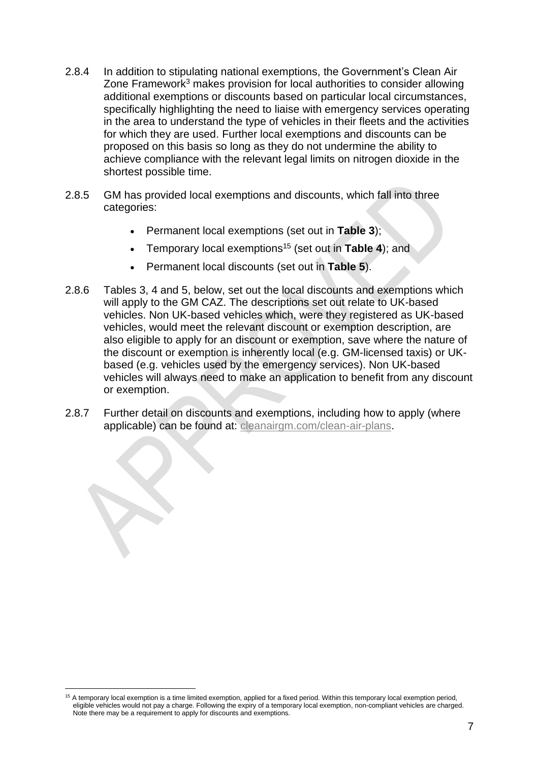- 2.8.4 In addition to stipulating national exemptions, the Government's Clean Air Zone Framework<sup>3</sup> makes provision for local authorities to consider allowing additional exemptions or discounts based on particular local circumstances, specifically highlighting the need to liaise with emergency services operating in the area to understand the type of vehicles in their fleets and the activities for which they are used. Further local exemptions and discounts can be proposed on this basis so long as they do not undermine the ability to achieve compliance with the relevant legal limits on nitrogen dioxide in the shortest possible time.
- 2.8.5 GM has provided local exemptions and discounts, which fall into three categories:
	- Permanent local exemptions (set out in **Table 3**);
	- Temporary local exemptions<sup>15</sup> (set out in **Table 4**); and
	- Permanent local discounts (set out in **Table 5**).
- 2.8.6 Tables 3, 4 and 5, below, set out the local discounts and exemptions which will apply to the GM CAZ. The descriptions set out relate to UK-based vehicles. Non UK-based vehicles which, were they registered as UK-based vehicles, would meet the relevant discount or exemption description, are also eligible to apply for an discount or exemption, save where the nature of the discount or exemption is inherently local (e.g. GM-licensed taxis) or UKbased (e.g. vehicles used by the emergency services). Non UK-based vehicles will always need to make an application to benefit from any discount or exemption.
- 2.8.7 Further detail on discounts and exemptions, including how to apply (where applicable) can be found at: cleanairgm.com/clean-air-plans.

<sup>15</sup> A temporary local exemption is a time limited exemption, applied for a fixed period. Within this temporary local exemption period, eligible vehicles would not pay a charge. Following the expiry of a temporary local exemption, non-compliant vehicles are charged. Note there may be a requirement to apply for discounts and exemptions.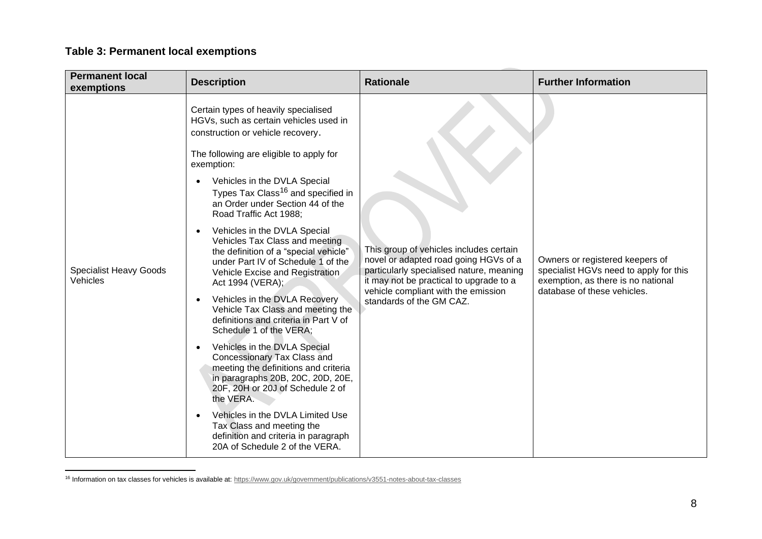### **Table 3: Permanent local exemptions**

| <b>Permanent local</b><br>exemptions      | <b>Description</b>                                                                                                                                                                                                                                                                                                                                                                                                                                                                                                                                                                                                                                                                                                                                                                                                                                                                                                                                                                                                     | <b>Rationale</b>                                                                                                                                                                                                                           | <b>Further Information</b>                                                                                                                     |
|-------------------------------------------|------------------------------------------------------------------------------------------------------------------------------------------------------------------------------------------------------------------------------------------------------------------------------------------------------------------------------------------------------------------------------------------------------------------------------------------------------------------------------------------------------------------------------------------------------------------------------------------------------------------------------------------------------------------------------------------------------------------------------------------------------------------------------------------------------------------------------------------------------------------------------------------------------------------------------------------------------------------------------------------------------------------------|--------------------------------------------------------------------------------------------------------------------------------------------------------------------------------------------------------------------------------------------|------------------------------------------------------------------------------------------------------------------------------------------------|
| <b>Specialist Heavy Goods</b><br>Vehicles | Certain types of heavily specialised<br>HGVs, such as certain vehicles used in<br>construction or vehicle recovery.<br>The following are eligible to apply for<br>exemption:<br>Vehicles in the DVLA Special<br>Types Tax Class <sup>16</sup> and specified in<br>an Order under Section 44 of the<br>Road Traffic Act 1988;<br>Vehicles in the DVLA Special<br>Vehicles Tax Class and meeting<br>the definition of a "special vehicle"<br>under Part IV of Schedule 1 of the<br>Vehicle Excise and Registration<br>Act 1994 (VERA);<br>Vehicles in the DVLA Recovery<br>Vehicle Tax Class and meeting the<br>definitions and criteria in Part V of<br>Schedule 1 of the VERA;<br>Vehicles in the DVLA Special<br>Concessionary Tax Class and<br>meeting the definitions and criteria<br>in paragraphs 20B, 20C, 20D, 20E,<br>20F, 20H or 20J of Schedule 2 of<br>the VERA.<br>Vehicles in the DVLA Limited Use<br>Tax Class and meeting the<br>definition and criteria in paragraph<br>20A of Schedule 2 of the VERA. | This group of vehicles includes certain<br>novel or adapted road going HGVs of a<br>particularly specialised nature, meaning<br>it may not be practical to upgrade to a<br>vehicle compliant with the emission<br>standards of the GM CAZ. | Owners or registered keepers of<br>specialist HGVs need to apply for this<br>exemption, as there is no national<br>database of these vehicles. |

<sup>&</sup>lt;sup>16</sup> Information on tax classes for vehicles is available at[: https://www.gov.uk/government/publications/v3551-notes-about-tax-classes](https://www.gov.uk/government/publications/v3551-notes-about-tax-classes)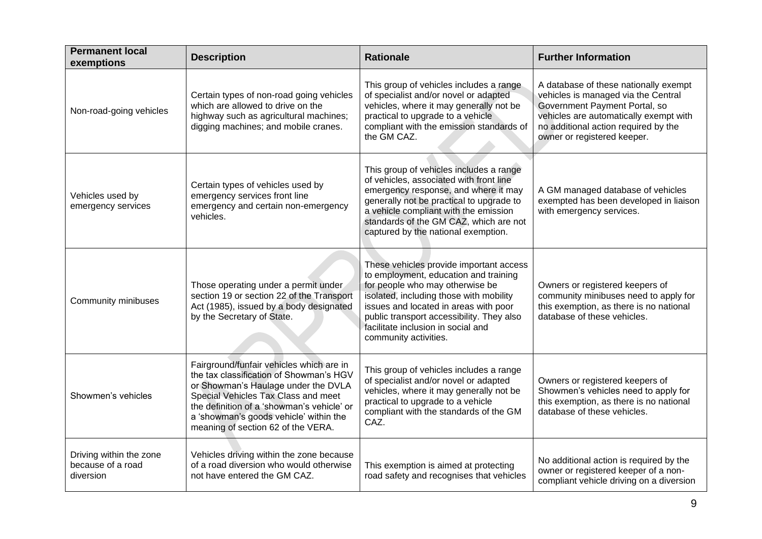| <b>Permanent local</b><br>exemptions                      | <b>Description</b>                                                                                                                                                                                                                                                                              | <b>Rationale</b>                                                                                                                                                                                                                                                                                                    | <b>Further Information</b>                                                                                                                                                                                                     |
|-----------------------------------------------------------|-------------------------------------------------------------------------------------------------------------------------------------------------------------------------------------------------------------------------------------------------------------------------------------------------|---------------------------------------------------------------------------------------------------------------------------------------------------------------------------------------------------------------------------------------------------------------------------------------------------------------------|--------------------------------------------------------------------------------------------------------------------------------------------------------------------------------------------------------------------------------|
| Non-road-going vehicles                                   | Certain types of non-road going vehicles<br>which are allowed to drive on the<br>highway such as agricultural machines;<br>digging machines; and mobile cranes.                                                                                                                                 | This group of vehicles includes a range<br>of specialist and/or novel or adapted<br>vehicles, where it may generally not be<br>practical to upgrade to a vehicle<br>compliant with the emission standards of<br>the GM CAZ.                                                                                         | A database of these nationally exempt<br>vehicles is managed via the Central<br>Government Payment Portal, so<br>vehicles are automatically exempt with<br>no additional action required by the<br>owner or registered keeper. |
| Vehicles used by<br>emergency services                    | Certain types of vehicles used by<br>emergency services front line<br>emergency and certain non-emergency<br>vehicles.                                                                                                                                                                          | This group of vehicles includes a range<br>of vehicles, associated with front line<br>emergency response, and where it may<br>generally not be practical to upgrade to<br>a vehicle compliant with the emission<br>standards of the GM CAZ, which are not<br>captured by the national exemption.                    | A GM managed database of vehicles<br>exempted has been developed in liaison<br>with emergency services.                                                                                                                        |
| Community minibuses                                       | Those operating under a permit under<br>section 19 or section 22 of the Transport<br>Act (1985), issued by a body designated<br>by the Secretary of State.                                                                                                                                      | These vehicles provide important access<br>to employment, education and training<br>for people who may otherwise be<br>isolated, including those with mobility<br>issues and located in areas with poor<br>public transport accessibility. They also<br>facilitate inclusion in social and<br>community activities. | Owners or registered keepers of<br>community minibuses need to apply for<br>this exemption, as there is no national<br>database of these vehicles.                                                                             |
| Showmen's vehicles                                        | Fairground/funfair vehicles which are in<br>the tax classification of Showman's HGV<br>or Showman's Haulage under the DVLA<br>Special Vehicles Tax Class and meet<br>the definition of a 'showman's vehicle' or<br>a 'showman's goods vehicle' within the<br>meaning of section 62 of the VERA. | This group of vehicles includes a range<br>of specialist and/or novel or adapted<br>vehicles, where it may generally not be<br>practical to upgrade to a vehicle<br>compliant with the standards of the GM<br>CAZ.                                                                                                  | Owners or registered keepers of<br>Showmen's vehicles need to apply for<br>this exemption, as there is no national<br>database of these vehicles.                                                                              |
| Driving within the zone<br>because of a road<br>diversion | Vehicles driving within the zone because<br>of a road diversion who would otherwise<br>not have entered the GM CAZ.                                                                                                                                                                             | This exemption is aimed at protecting<br>road safety and recognises that vehicles                                                                                                                                                                                                                                   | No additional action is required by the<br>owner or registered keeper of a non-<br>compliant vehicle driving on a diversion                                                                                                    |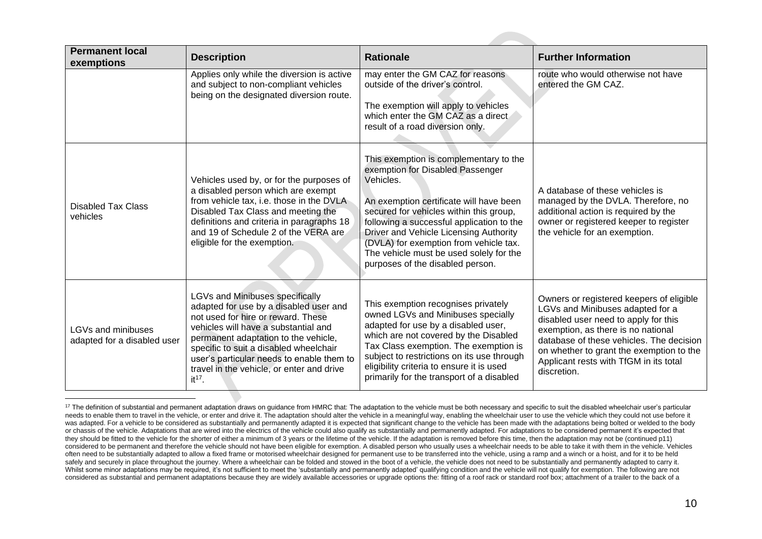| <b>Permanent local</b><br>exemptions              | <b>Description</b>                                                                                                                                                                                                                                                                                                                                 | <b>Rationale</b>                                                                                                                                                                                                                                                                                                                                                                              | <b>Further Information</b>                                                                                                                                                                                                                                                                                  |
|---------------------------------------------------|----------------------------------------------------------------------------------------------------------------------------------------------------------------------------------------------------------------------------------------------------------------------------------------------------------------------------------------------------|-----------------------------------------------------------------------------------------------------------------------------------------------------------------------------------------------------------------------------------------------------------------------------------------------------------------------------------------------------------------------------------------------|-------------------------------------------------------------------------------------------------------------------------------------------------------------------------------------------------------------------------------------------------------------------------------------------------------------|
|                                                   | Applies only while the diversion is active<br>and subject to non-compliant vehicles<br>being on the designated diversion route.                                                                                                                                                                                                                    | may enter the GM CAZ for reasons<br>outside of the driver's control.<br>The exemption will apply to vehicles<br>which enter the GM CAZ as a direct<br>result of a road diversion only.                                                                                                                                                                                                        | route who would otherwise not have<br>entered the GM CAZ.                                                                                                                                                                                                                                                   |
| <b>Disabled Tax Class</b><br>vehicles             | Vehicles used by, or for the purposes of<br>a disabled person which are exempt<br>from vehicle tax, i.e. those in the DVLA<br>Disabled Tax Class and meeting the<br>definitions and criteria in paragraphs 18<br>and 19 of Schedule 2 of the VERA are<br>eligible for the exemption.                                                               | This exemption is complementary to the<br>exemption for Disabled Passenger<br>Vehicles.<br>An exemption certificate will have been<br>secured for vehicles within this group,<br>following a successful application to the<br>Driver and Vehicle Licensing Authority<br>(DVLA) for exemption from vehicle tax.<br>The vehicle must be used solely for the<br>purposes of the disabled person. | A database of these vehicles is<br>managed by the DVLA. Therefore, no<br>additional action is required by the<br>owner or registered keeper to register<br>the vehicle for an exemption.                                                                                                                    |
| LGVs and minibuses<br>adapted for a disabled user | LGVs and Minibuses specifically<br>adapted for use by a disabled user and<br>not used for hire or reward. These<br>vehicles will have a substantial and<br>permanent adaptation to the vehicle,<br>specific to suit a disabled wheelchair<br>user's particular needs to enable them to<br>travel in the vehicle, or enter and drive<br>$it^{17}$ . | This exemption recognises privately<br>owned LGVs and Minibuses specially<br>adapted for use by a disabled user,<br>which are not covered by the Disabled<br>Tax Class exemption. The exemption is<br>subject to restrictions on its use through<br>eligibility criteria to ensure it is used<br>primarily for the transport of a disabled                                                    | Owners or registered keepers of eligible<br>LGVs and Minibuses adapted for a<br>disabled user need to apply for this<br>exemption, as there is no national<br>database of these vehicles. The decision<br>on whether to grant the exemption to the<br>Applicant rests with TfGM in its total<br>discretion. |

<sup>&</sup>lt;sup>17</sup> The definition of substantial and permanent adaptation draws on quidance from HMRC that: The adaptation to the vehicle must be both necessary and specific to suit the disabled wheelchair user's particular needs to enable them to travel in the vehicle, or enter and drive it. The adaptation should alter the vehicle in a meaningful way, enabling the wheelchair user to use the vehicle which they could not use before it was adapted. For a vehicle to be considered as substantially and permanently adapted it is expected that significant change to the vehicle has been made with the adaptations being bolted or welded to the body or chassis of the vehicle. Adaptations that are wired into the electrics of the vehicle could also qualify as substantially and permanently adapted. For adaptations to be considered permanent it's expected that they should be fitted to the vehicle for the shorter of either a minimum of 3 years or the lifetime of the vehicle. If the adaptation is removed before this time, then the adaptation may not be (continued p11) considered to be permanent and therefore the vehicle should not have been eligible for exemption. A disabled person who usually uses a wheelchair needs to be able to take it with them in the vehicle. Vehicles often need to be substantially adapted to allow a fixed frame or motorised wheelchair designed for permanent use to be transferred into the vehicle, using a ramp and a winch or a hoist, and for it to be held safely and securely in place throughout the journey. Where a wheelchair can be folded and stowed in the boot of a vehicle, the vehicle does not need to be substantially and permanently adapted to carry it. Whilst some minor adaptations may be required, it's not sufficient to meet the 'substantially and permanently adapted' qualifying condition and the vehicle will not qualify for exemption. The following are not considered as substantial and permanent adaptations because they are widely available accessories or upgrade options the: fitting of a roof rack or standard roof box; attachment of a trailer to the back of a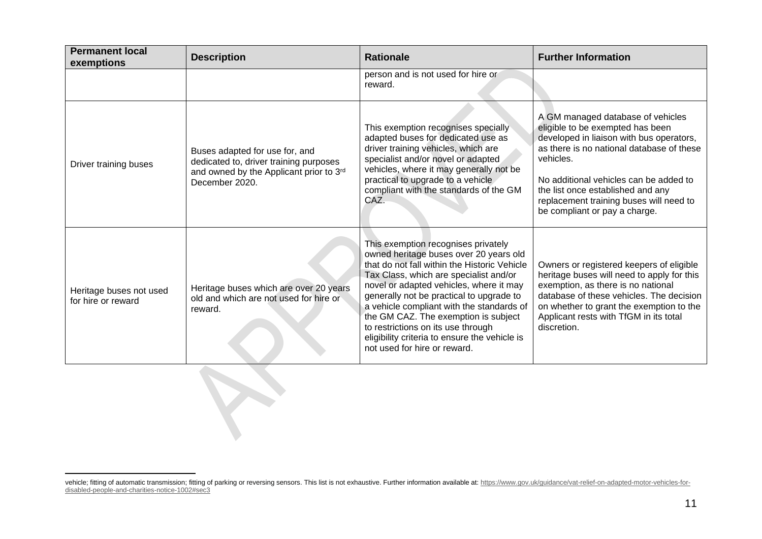| <b>Permanent local</b><br>exemptions          | <b>Description</b>                                                                                                                    | <b>Rationale</b>                                                                                                                                                                                                                                                                                                                                                                                                                                                           | <b>Further Information</b>                                                                                                                                                                                                                                                                                                             |
|-----------------------------------------------|---------------------------------------------------------------------------------------------------------------------------------------|----------------------------------------------------------------------------------------------------------------------------------------------------------------------------------------------------------------------------------------------------------------------------------------------------------------------------------------------------------------------------------------------------------------------------------------------------------------------------|----------------------------------------------------------------------------------------------------------------------------------------------------------------------------------------------------------------------------------------------------------------------------------------------------------------------------------------|
|                                               |                                                                                                                                       | person and is not used for hire or<br>reward.                                                                                                                                                                                                                                                                                                                                                                                                                              |                                                                                                                                                                                                                                                                                                                                        |
| Driver training buses                         | Buses adapted for use for, and<br>dedicated to, driver training purposes<br>and owned by the Applicant prior to 3rd<br>December 2020. | This exemption recognises specially<br>adapted buses for dedicated use as<br>driver training vehicles, which are<br>specialist and/or novel or adapted<br>vehicles, where it may generally not be<br>practical to upgrade to a vehicle<br>compliant with the standards of the GM<br>CÁZ.                                                                                                                                                                                   | A GM managed database of vehicles<br>eligible to be exempted has been<br>developed in liaison with bus operators,<br>as there is no national database of these<br>vehicles.<br>No additional vehicles can be added to<br>the list once established and any<br>replacement training buses will need to<br>be compliant or pay a charge. |
| Heritage buses not used<br>for hire or reward | Heritage buses which are over 20 years<br>old and which are not used for hire or<br>reward.                                           | This exemption recognises privately<br>owned heritage buses over 20 years old<br>that do not fall within the Historic Vehicle<br>Tax Class, which are specialist and/or<br>novel or adapted vehicles, where it may<br>generally not be practical to upgrade to<br>a vehicle compliant with the standards of<br>the GM CAZ. The exemption is subject<br>to restrictions on its use through<br>eligibility criteria to ensure the vehicle is<br>not used for hire or reward. | Owners or registered keepers of eligible<br>heritage buses will need to apply for this<br>exemption, as there is no national<br>database of these vehicles. The decision<br>on whether to grant the exemption to the<br>Applicant rests with TfGM in its total<br>discretion.                                                          |
|                                               |                                                                                                                                       |                                                                                                                                                                                                                                                                                                                                                                                                                                                                            |                                                                                                                                                                                                                                                                                                                                        |

vehicle; fitting of automatic transmission; fitting of parking or reversing sensors. This list is not exhaustive. Further information available at: [https://www.gov.uk/guidance/vat-relief-on-adapted-motor-vehicles-for](https://www.gov.uk/guidance/vat-relief-on-adapted-motor-vehicles-for-disabled-people-and-charities-notice-1002#sec3)[disabled-people-and-charities-notice-1002#sec3](https://www.gov.uk/guidance/vat-relief-on-adapted-motor-vehicles-for-disabled-people-and-charities-notice-1002#sec3)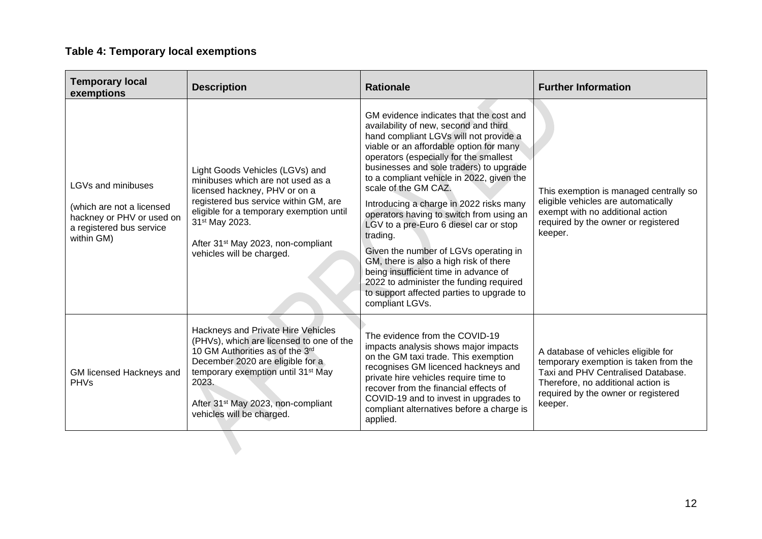## **Table 4: Temporary local exemptions**

| <b>Temporary local</b><br>exemptions                                                                                   | <b>Description</b>                                                                                                                                                                                                                                                                                      | <b>Rationale</b>                                                                                                                                                                                                                                                                                                                                                                                                                                                                                                                                                                                                                                                                                                    | <b>Further Information</b>                                                                                                                                                                                 |
|------------------------------------------------------------------------------------------------------------------------|---------------------------------------------------------------------------------------------------------------------------------------------------------------------------------------------------------------------------------------------------------------------------------------------------------|---------------------------------------------------------------------------------------------------------------------------------------------------------------------------------------------------------------------------------------------------------------------------------------------------------------------------------------------------------------------------------------------------------------------------------------------------------------------------------------------------------------------------------------------------------------------------------------------------------------------------------------------------------------------------------------------------------------------|------------------------------------------------------------------------------------------------------------------------------------------------------------------------------------------------------------|
| LGVs and minibuses<br>(which are not a licensed<br>hackney or PHV or used on<br>a registered bus service<br>within GM) | Light Goods Vehicles (LGVs) and<br>minibuses which are not used as a<br>licensed hackney, PHV or on a<br>registered bus service within GM, are<br>eligible for a temporary exemption until<br>31 <sup>st</sup> May 2023.<br>After 31 <sup>st</sup> May 2023, non-compliant<br>vehicles will be charged. | GM evidence indicates that the cost and<br>availability of new, second and third<br>hand compliant LGVs will not provide a<br>viable or an affordable option for many<br>operators (especially for the smallest<br>businesses and sole traders) to upgrade<br>to a compliant vehicle in 2022, given the<br>scale of the GM CAZ.<br>Introducing a charge in 2022 risks many<br>operators having to switch from using an<br>LGV to a pre-Euro 6 diesel car or stop<br>trading.<br>Given the number of LGVs operating in<br>GM, there is also a high risk of there<br>being insufficient time in advance of<br>2022 to administer the funding required<br>to support affected parties to upgrade to<br>compliant LGVs. | This exemption is managed centrally so<br>eligible vehicles are automatically<br>exempt with no additional action<br>required by the owner or registered<br>keeper.                                        |
| GM licensed Hackneys and<br><b>PHVs</b>                                                                                | Hackneys and Private Hire Vehicles<br>(PHVs), which are licensed to one of the<br>10 GM Authorities as of the 3rd<br>December 2020 are eligible for a<br>temporary exemption until 31 <sup>st</sup> May<br>2023.<br>After 31 <sup>st</sup> May 2023, non-compliant<br>vehicles will be charged.         | The evidence from the COVID-19<br>impacts analysis shows major impacts<br>on the GM taxi trade. This exemption<br>recognises GM licenced hackneys and<br>private hire vehicles require time to<br>recover from the financial effects of<br>COVID-19 and to invest in upgrades to<br>compliant alternatives before a charge is<br>applied.                                                                                                                                                                                                                                                                                                                                                                           | A database of vehicles eligible for<br>temporary exemption is taken from the<br>Taxi and PHV Centralised Database.<br>Therefore, no additional action is<br>required by the owner or registered<br>keeper. |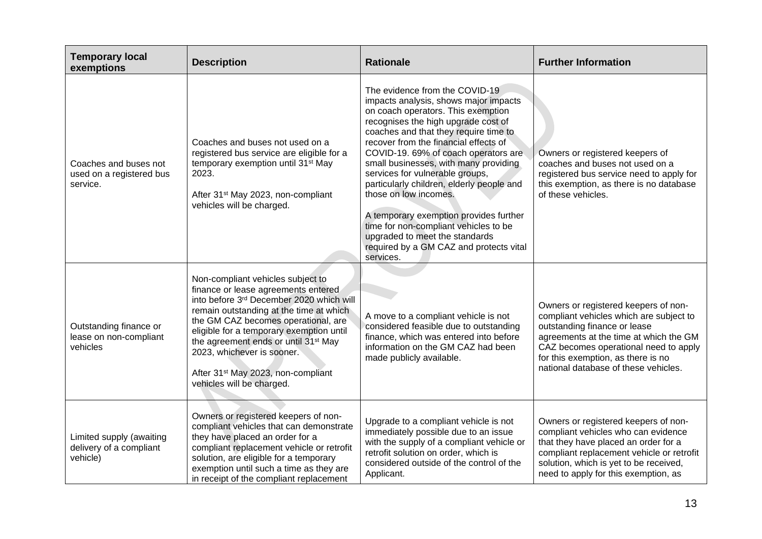| <b>Temporary local</b><br>exemptions                            | <b>Description</b>                                                                                                                                                                                                                                                                                                                                                                                                  | <b>Rationale</b>                                                                                                                                                                                                                                                                                                                                                                                                                                                                                                                                                                                              | <b>Further Information</b>                                                                                                                                                                                                                                                       |
|-----------------------------------------------------------------|---------------------------------------------------------------------------------------------------------------------------------------------------------------------------------------------------------------------------------------------------------------------------------------------------------------------------------------------------------------------------------------------------------------------|---------------------------------------------------------------------------------------------------------------------------------------------------------------------------------------------------------------------------------------------------------------------------------------------------------------------------------------------------------------------------------------------------------------------------------------------------------------------------------------------------------------------------------------------------------------------------------------------------------------|----------------------------------------------------------------------------------------------------------------------------------------------------------------------------------------------------------------------------------------------------------------------------------|
| Coaches and buses not<br>used on a registered bus<br>service.   | Coaches and buses not used on a<br>registered bus service are eligible for a<br>temporary exemption until 31 <sup>st</sup> May<br>2023.<br>After 31 <sup>st</sup> May 2023, non-compliant<br>vehicles will be charged.                                                                                                                                                                                              | The evidence from the COVID-19<br>impacts analysis, shows major impacts<br>on coach operators. This exemption<br>recognises the high upgrade cost of<br>coaches and that they require time to<br>recover from the financial effects of<br>COVID-19. 69% of coach operators are<br>small businesses, with many providing<br>services for vulnerable groups,<br>particularly children, elderly people and<br>those on low incomes.<br>A temporary exemption provides further<br>time for non-compliant vehicles to be<br>upgraded to meet the standards<br>required by a GM CAZ and protects vital<br>services. | Owners or registered keepers of<br>coaches and buses not used on a<br>registered bus service need to apply for<br>this exemption, as there is no database<br>of these vehicles.                                                                                                  |
| Outstanding finance or<br>lease on non-compliant<br>vehicles    | Non-compliant vehicles subject to<br>finance or lease agreements entered<br>into before 3rd December 2020 which will<br>remain outstanding at the time at which<br>the GM CAZ becomes operational, are<br>eligible for a temporary exemption until<br>the agreement ends or until 31 <sup>st</sup> May<br>2023, whichever is sooner.<br>After 31 <sup>st</sup> May 2023, non-compliant<br>vehicles will be charged. | A move to a compliant vehicle is not<br>considered feasible due to outstanding<br>finance, which was entered into before<br>information on the GM CAZ had been<br>made publicly available.                                                                                                                                                                                                                                                                                                                                                                                                                    | Owners or registered keepers of non-<br>compliant vehicles which are subject to<br>outstanding finance or lease<br>agreements at the time at which the GM<br>CAZ becomes operational need to apply<br>for this exemption, as there is no<br>national database of these vehicles. |
| Limited supply (awaiting<br>delivery of a compliant<br>vehicle) | Owners or registered keepers of non-<br>compliant vehicles that can demonstrate<br>they have placed an order for a<br>compliant replacement vehicle or retrofit<br>solution, are eligible for a temporary<br>exemption until such a time as they are<br>in receipt of the compliant replacement                                                                                                                     | Upgrade to a compliant vehicle is not<br>immediately possible due to an issue<br>with the supply of a compliant vehicle or<br>retrofit solution on order, which is<br>considered outside of the control of the<br>Applicant.                                                                                                                                                                                                                                                                                                                                                                                  | Owners or registered keepers of non-<br>compliant vehicles who can evidence<br>that they have placed an order for a<br>compliant replacement vehicle or retrofit<br>solution, which is yet to be received,<br>need to apply for this exemption, as                               |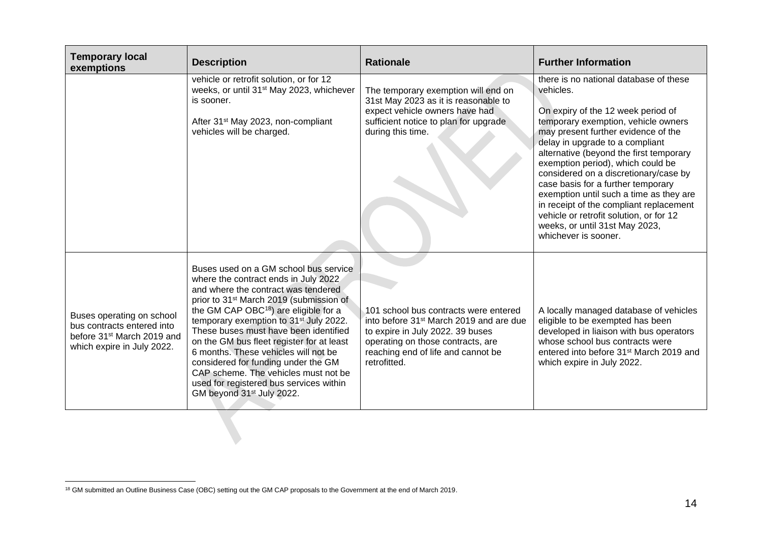| <b>Temporary local</b><br>exemptions                                                                                            | <b>Description</b>                                                                                                                                                                                                                                                                                                                                                                                                                                                                                                                                                                      | <b>Rationale</b>                                                                                                                                                                                                            | <b>Further Information</b>                                                                                                                                                                                                                                                                                                                                                                                                                                                                                                                                           |
|---------------------------------------------------------------------------------------------------------------------------------|-----------------------------------------------------------------------------------------------------------------------------------------------------------------------------------------------------------------------------------------------------------------------------------------------------------------------------------------------------------------------------------------------------------------------------------------------------------------------------------------------------------------------------------------------------------------------------------------|-----------------------------------------------------------------------------------------------------------------------------------------------------------------------------------------------------------------------------|----------------------------------------------------------------------------------------------------------------------------------------------------------------------------------------------------------------------------------------------------------------------------------------------------------------------------------------------------------------------------------------------------------------------------------------------------------------------------------------------------------------------------------------------------------------------|
|                                                                                                                                 | vehicle or retrofit solution, or for 12<br>weeks, or until 31 <sup>st</sup> May 2023, whichever<br>is sooner.<br>After 31 <sup>st</sup> May 2023, non-compliant<br>vehicles will be charged.                                                                                                                                                                                                                                                                                                                                                                                            | The temporary exemption will end on<br>31st May 2023 as it is reasonable to<br>expect vehicle owners have had<br>sufficient notice to plan for upgrade<br>during this time.                                                 | there is no national database of these<br>vehicles.<br>On expiry of the 12 week period of<br>temporary exemption, vehicle owners<br>may present further evidence of the<br>delay in upgrade to a compliant<br>alternative (beyond the first temporary<br>exemption period), which could be<br>considered on a discretionary/case by<br>case basis for a further temporary<br>exemption until such a time as they are<br>in receipt of the compliant replacement<br>vehicle or retrofit solution, or for 12<br>weeks, or until 31st May 2023,<br>whichever is sooner. |
| Buses operating on school<br>bus contracts entered into<br>before 31 <sup>st</sup> March 2019 and<br>which expire in July 2022. | Buses used on a GM school bus service<br>where the contract ends in July 2022<br>and where the contract was tendered<br>prior to 31 <sup>st</sup> March 2019 (submission of<br>the GM CAP OBC <sup>18</sup> ) are eligible for a<br>temporary exemption to 31 <sup>st</sup> July 2022.<br>These buses must have been identified<br>on the GM bus fleet register for at least<br>6 months. These vehicles will not be<br>considered for funding under the GM<br>CAP scheme. The vehicles must not be<br>used for registered bus services within<br>GM beyond 31 <sup>st</sup> July 2022. | 101 school bus contracts were entered<br>into before 31 <sup>st</sup> March 2019 and are due<br>to expire in July 2022. 39 buses<br>operating on those contracts, are<br>reaching end of life and cannot be<br>retrofitted. | A locally managed database of vehicles<br>eligible to be exempted has been<br>developed in liaison with bus operators<br>whose school bus contracts were<br>entered into before 31 <sup>st</sup> March 2019 and<br>which expire in July 2022.                                                                                                                                                                                                                                                                                                                        |

<sup>&</sup>lt;sup>18</sup> GM submitted an Outline Business Case (OBC) setting out the GM CAP proposals to the Government at the end of March 2019.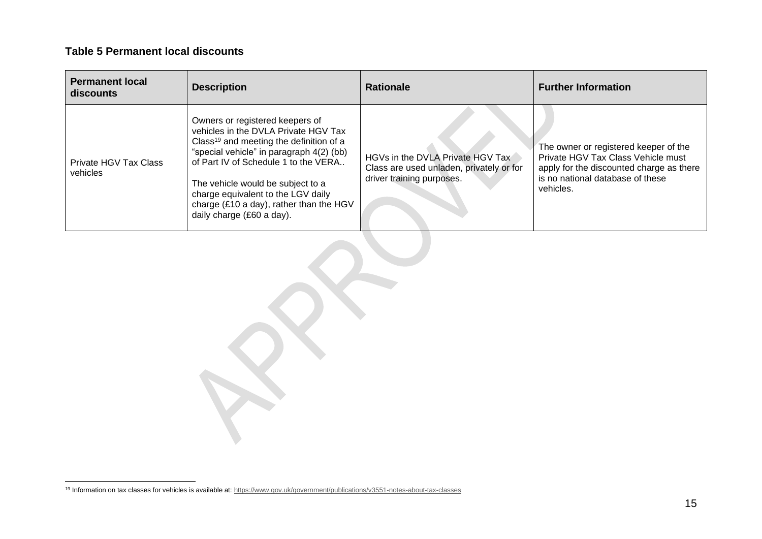#### **Table 5 Permanent local discounts**

| <b>Permanent local</b><br>discounts | <b>Description</b>                                                                                                                                                                                                                                                                                                                                                    | <b>Rationale</b>                                                                                          | <b>Further Information</b>                                                                                                                                               |
|-------------------------------------|-----------------------------------------------------------------------------------------------------------------------------------------------------------------------------------------------------------------------------------------------------------------------------------------------------------------------------------------------------------------------|-----------------------------------------------------------------------------------------------------------|--------------------------------------------------------------------------------------------------------------------------------------------------------------------------|
| Private HGV Tax Class<br>vehicles   | Owners or registered keepers of<br>vehicles in the DVLA Private HGV Tax<br>Class <sup>19</sup> and meeting the definition of a<br>"special vehicle" in paragraph 4(2) (bb)<br>of Part IV of Schedule 1 to the VERA<br>The vehicle would be subject to a<br>charge equivalent to the LGV daily<br>charge (£10 a day), rather than the HGV<br>daily charge (£60 a day). | HGVs in the DVLA Private HGV Tax<br>Class are used unladen, privately or for<br>driver training purposes. | The owner or registered keeper of the<br>Private HGV Tax Class Vehicle must<br>apply for the discounted charge as there<br>is no national database of these<br>vehicles. |

<sup>&</sup>lt;sup>19</sup> Information on tax classes for vehicles is available at[: https://www.gov.uk/government/publications/v3551-notes-about-tax-classes](https://www.gov.uk/government/publications/v3551-notes-about-tax-classes)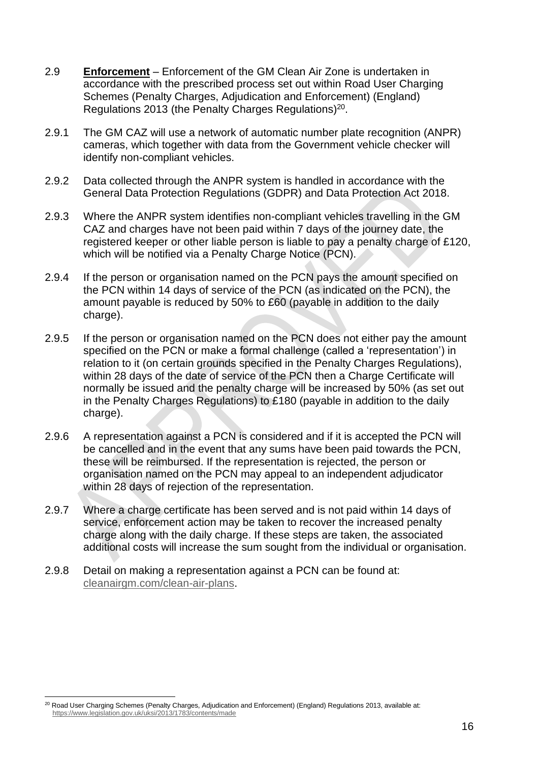- 2.9 **Enforcement** Enforcement of the GM Clean Air Zone is undertaken in accordance with the prescribed process set out within Road User Charging Schemes (Penalty Charges, Adjudication and Enforcement) (England) Regulations 2013 (the Penalty Charges Regulations)<sup>20</sup>.
- 2.9.1 The GM CAZ will use a network of automatic number plate recognition (ANPR) cameras, which together with data from the Government vehicle checker will identify non-compliant vehicles.
- 2.9.2 Data collected through the ANPR system is handled in accordance with the General Data Protection Regulations (GDPR) and Data Protection Act 2018.
- 2.9.3 Where the ANPR system identifies non-compliant vehicles travelling in the GM CAZ and charges have not been paid within 7 days of the journey date, the registered keeper or other liable person is liable to pay a penalty charge of £120, which will be notified via a Penalty Charge Notice (PCN).
- 2.9.4 If the person or organisation named on the PCN pays the amount specified on the PCN within 14 days of service of the PCN (as indicated on the PCN), the amount payable is reduced by 50% to £60 (payable in addition to the daily charge).
- 2.9.5 If the person or organisation named on the PCN does not either pay the amount specified on the PCN or make a formal challenge (called a 'representation') in relation to it (on certain grounds specified in the Penalty Charges Regulations), within 28 days of the date of service of the PCN then a Charge Certificate will normally be issued and the penalty charge will be increased by 50% (as set out in the Penalty Charges Regulations) to £180 (payable in addition to the daily charge).
- 2.9.6 A representation against a PCN is considered and if it is accepted the PCN will be cancelled and in the event that any sums have been paid towards the PCN, these will be reimbursed. If the representation is rejected, the person or organisation named on the PCN may appeal to an independent adjudicator within 28 days of rejection of the representation.
- 2.9.7 Where a charge certificate has been served and is not paid within 14 days of service, enforcement action may be taken to recover the increased penalty charge along with the daily charge. If these steps are taken, the associated additional costs will increase the sum sought from the individual or organisation.
- 2.9.8 Detail on making a representation against a PCN can be found at: [cleanairgm.com/clean-air-plans.](https://cleanairgm.com/clean-air-plans)

<sup>&</sup>lt;sup>20</sup> Road User Charging Schemes (Penalty Charges, Adjudication and Enforcement) (England) Regulations 2013, available at: <https://www.legislation.gov.uk/uksi/2013/1783/contents/made>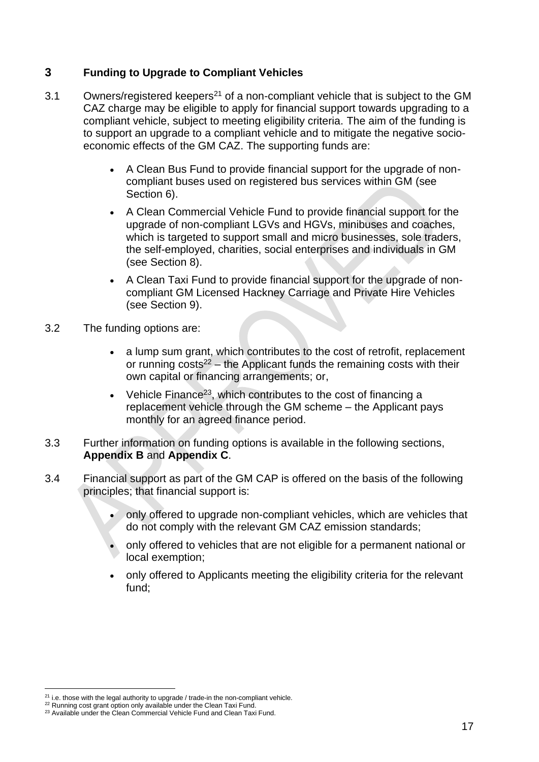#### **3 Funding to Upgrade to Compliant Vehicles**

- $3.1$  Owners/registered keepers<sup>21</sup> of a non-compliant vehicle that is subject to the GM CAZ charge may be eligible to apply for financial support towards upgrading to a compliant vehicle, subject to meeting eligibility criteria. The aim of the funding is to support an upgrade to a compliant vehicle and to mitigate the negative socioeconomic effects of the GM CAZ. The supporting funds are:
	- A Clean Bus Fund to provide financial support for the upgrade of noncompliant buses used on registered bus services within GM (see Section 6).
	- A Clean Commercial Vehicle Fund to provide financial support for the upgrade of non-compliant LGVs and HGVs, minibuses and coaches, which is targeted to support small and micro businesses, sole traders, the self-employed, charities, social enterprises and individuals in GM (see Section 8).
	- A Clean Taxi Fund to provide financial support for the upgrade of noncompliant GM Licensed Hackney Carriage and Private Hire Vehicles (see Section 9).
- 3.2 The funding options are:
	- a lump sum grant, which contributes to the cost of retrofit, replacement or running  $costs<sup>22</sup> - the Application funds the remaining costs with their$ own capital or financing arrangements; or,
	- Vehicle Finance<sup>23</sup>, which contributes to the cost of financing a replacement vehicle through the GM scheme – the Applicant pays monthly for an agreed finance period.
- 3.3 Further information on funding options is available in the following sections, **Appendix B** and **Appendix C**.
- 3.4 Financial support as part of the GM CAP is offered on the basis of the following principles; that financial support is:
	- only offered to upgrade non-compliant vehicles, which are vehicles that do not comply with the relevant GM CAZ emission standards;
	- only offered to vehicles that are not eligible for a permanent national or local exemption;
	- only offered to Applicants meeting the eligibility criteria for the relevant fund;

 $21$  i.e. those with the legal authority to upgrade / trade-in the non-compliant vehicle.

<sup>&</sup>lt;sup>22</sup> Running cost grant option only available under the Clean Taxi Fund.

<sup>&</sup>lt;sup>23</sup> Available under the Clean Commercial Vehicle Fund and Clean Taxi Fund.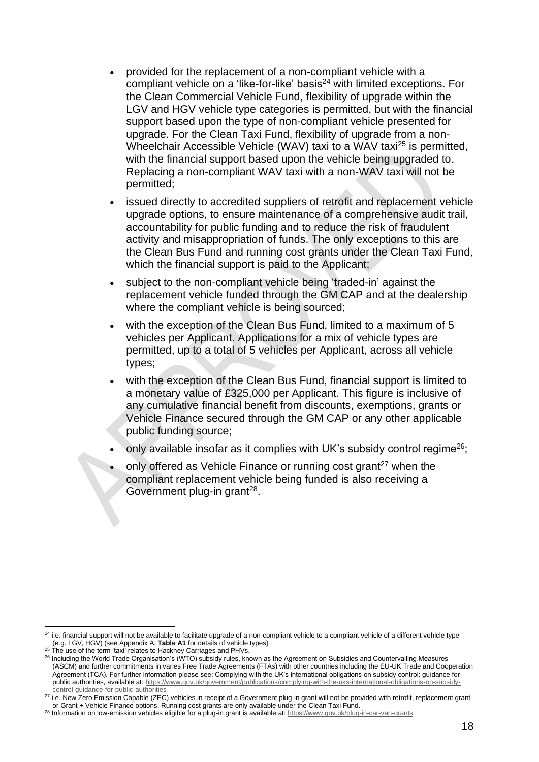- provided for the replacement of a non-compliant vehicle with a compliant vehicle on a 'like-for-like' basis $^{24}$  with limited exceptions. For the Clean Commercial Vehicle Fund, flexibility of upgrade within the LGV and HGV vehicle type categories is permitted, but with the financial support based upon the type of non-compliant vehicle presented for upgrade. For the Clean Taxi Fund, flexibility of upgrade from a non-Wheelchair Accessible Vehicle (WAV) taxi to a WAV taxi<sup>25</sup> is permitted, with the financial support based upon the vehicle being upgraded to. Replacing a non-compliant WAV taxi with a non-WAV taxi will not be permitted;
- issued directly to accredited suppliers of retrofit and replacement vehicle upgrade options, to ensure maintenance of a comprehensive audit trail, accountability for public funding and to reduce the risk of fraudulent activity and misappropriation of funds. The only exceptions to this are the Clean Bus Fund and running cost grants under the Clean Taxi Fund, which the financial support is paid to the Applicant;
- subject to the non-compliant vehicle being 'traded-in' against the replacement vehicle funded through the GM CAP and at the dealership where the compliant vehicle is being sourced;
- with the exception of the Clean Bus Fund, limited to a maximum of 5 vehicles per Applicant. Applications for a mix of vehicle types are permitted, up to a total of 5 vehicles per Applicant, across all vehicle types;
- with the exception of the Clean Bus Fund, financial support is limited to a monetary value of £325,000 per Applicant. This figure is inclusive of any cumulative financial benefit from discounts, exemptions, grants or Vehicle Finance secured through the GM CAP or any other applicable public funding source;
- only available insofar as it complies with UK's subsidy control regime<sup>26</sup>;
- only offered as Vehicle Finance or running cost grant<sup>27</sup> when the compliant replacement vehicle being funded is also receiving a Government plug-in grant<sup>28</sup>.

<sup>&</sup>lt;sup>24</sup> i.e. financial support will not be available to facilitate upgrade of a non-compliant vehicle to a compliant vehicle of a different vehicle type (e.g. LGV, HGV) (see Appendix A, **Table A1** for details of vehicle types)

<sup>&</sup>lt;sup>25</sup> The use of the term 'taxi' relates to Hackney Carriages and PHVs.

 $^{26}$  Including the World Trade Organisation's (WTO) subsidy rules, known as the Agreement on Subsidies and Countervailing Measures (ASCM) and further commitments in varies Free Trade Agreements (FTAs) with other countries including the EU-UK Trade and Cooperation Agreement (TCA). For further information please see: Complying with the UK's international obligations on subsidy control: guidance for public authorities, available at[: https://www.gov.uk/government/publications/complying-with-the-uks-international-obligations-on-subsidy](https://www.gov.uk/government/publications/complying-with-the-uks-international-obligations-on-subsidy-control-guidance-for-public-authorities)[control-guidance-for-public-authorities](https://www.gov.uk/government/publications/complying-with-the-uks-international-obligations-on-subsidy-control-guidance-for-public-authorities)

<sup>27</sup> i.e. New Zero Emission Capable (ZEC) vehicles in receipt of a Government plug-in grant will not be provided with retrofit, replacement grant or Grant + Vehicle Finance options. Running cost grants are only available under the Clean Taxi Fund.

<sup>28</sup> Information on low-emission vehicles eligible for a plug-in grant is available at:<https://www.gov.uk/plug-in-car-van-grants>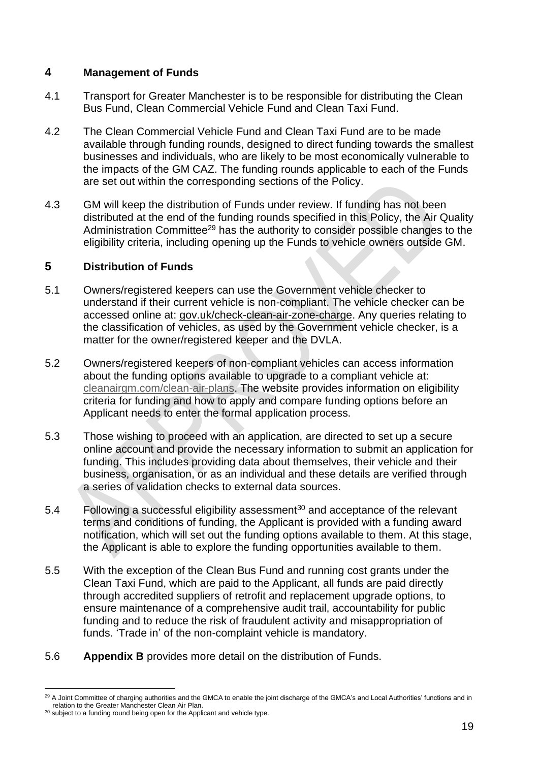#### **4 Management of Funds**

- 4.1 Transport for Greater Manchester is to be responsible for distributing the Clean Bus Fund, Clean Commercial Vehicle Fund and Clean Taxi Fund.
- 4.2 The Clean Commercial Vehicle Fund and Clean Taxi Fund are to be made available through funding rounds, designed to direct funding towards the smallest businesses and individuals, who are likely to be most economically vulnerable to the impacts of the GM CAZ. The funding rounds applicable to each of the Funds are set out within the corresponding sections of the Policy.
- 4.3 GM will keep the distribution of Funds under review. If funding has not been distributed at the end of the funding rounds specified in this Policy, the Air Quality Administration Committee<sup>29</sup> has the authority to consider possible changes to the eligibility criteria, including opening up the Funds to vehicle owners outside GM.

#### **5 Distribution of Funds**

- 5.1 Owners/registered keepers can use the Government vehicle checker to understand if their current vehicle is non-compliant. The vehicle checker can be accessed online at: [gov.uk/check-clean-air-zone-charge.](https://www.gov.uk/check-clean-air-zone-charge) Any queries relating to the classification of vehicles, as used by the Government vehicle checker, is a matter for the owner/registered keeper and the DVLA.
- 5.2 Owners/registered keepers of non-compliant vehicles can access information about the funding options available to upgrade to a compliant vehicle at: [cleanairgm.com/clean-air-plans.](https://cleanairgm.com/clean-air-plans) The website provides information on eligibility criteria for funding and how to apply and compare funding options before an Applicant needs to enter the formal application process.
- 5.3 Those wishing to proceed with an application, are directed to set up a secure online account and provide the necessary information to submit an application for funding. This includes providing data about themselves, their vehicle and their business, organisation, or as an individual and these details are verified through a series of validation checks to external data sources.
- 5.4 Following a successful eligibility assessment<sup>30</sup> and acceptance of the relevant terms and conditions of funding, the Applicant is provided with a funding award notification, which will set out the funding options available to them. At this stage, the Applicant is able to explore the funding opportunities available to them.
- 5.5 With the exception of the Clean Bus Fund and running cost grants under the Clean Taxi Fund, which are paid to the Applicant, all funds are paid directly through accredited suppliers of retrofit and replacement upgrade options, to ensure maintenance of a comprehensive audit trail, accountability for public funding and to reduce the risk of fraudulent activity and misappropriation of funds. 'Trade in' of the non-complaint vehicle is mandatory.
- 5.6 **Appendix B** provides more detail on the distribution of Funds.

<sup>&</sup>lt;sup>29</sup> A Joint Committee of charging authorities and the GMCA to enable the joint discharge of the GMCA's and Local Authorities' functions and in relation to the Greater Manchester Clean Air Plan.

<sup>&</sup>lt;sup>30</sup> subject to a funding round being open for the Applicant and vehicle type.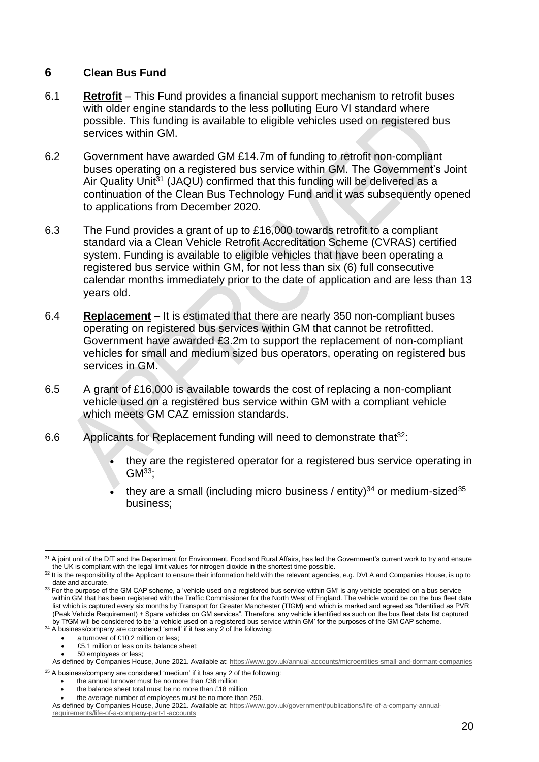#### **6 Clean Bus Fund**

- 6.1 **Retrofit** This Fund provides a financial support mechanism to retrofit buses with older engine standards to the less polluting Euro VI standard where possible. This funding is available to eligible vehicles used on registered bus services within GM.
- 6.2 Government have awarded GM £14.7m of funding to retrofit non-compliant buses operating on a registered bus service within GM. The Government's Joint Air Quality Unit<sup>31</sup> (JAQU) confirmed that this funding will be delivered as a continuation of the Clean Bus Technology Fund and it was subsequently opened to applications from December 2020.
- 6.3 The Fund provides a grant of up to £16,000 towards retrofit to a compliant standard via a Clean Vehicle Retrofit Accreditation Scheme (CVRAS) certified system. Funding is available to eligible vehicles that have been operating a registered bus service within GM, for not less than six (6) full consecutive calendar months immediately prior to the date of application and are less than 13 years old.
- 6.4 **Replacement** It is estimated that there are nearly 350 non-compliant buses operating on registered bus services within GM that cannot be retrofitted. Government have awarded £3.2m to support the replacement of non-compliant vehicles for small and medium sized bus operators, operating on registered bus services in GM.
- 6.5 A grant of £16,000 is available towards the cost of replacing a non-compliant vehicle used on a registered bus service within GM with a compliant vehicle which meets GM CAZ emission standards.
- 6.6 Applicants for Replacement funding will need to demonstrate that  $32$ :
	- they are the registered operator for a registered bus service operating in  $GM<sup>33</sup>$ :
	- they are a small (including micro business / entity) $^{34}$  or medium-sized $^{35}$ business;

<sup>&</sup>lt;sup>31</sup> A joint unit of the DfT and the Department for Environment, Food and Rural Affairs, has led the Government's current work to try and ensure the UK is compliant with the legal limit values for nitrogen dioxide in the shortest time possible.

<sup>32</sup> It is the responsibility of the Applicant to ensure their information held with the relevant agencies, e.g. DVLA and Companies House, is up to date and accurate.

 $33$  For the purpose of the GM CAP scheme, a 'vehicle used on a registered bus service within GM' is any vehicle operated on a bus service within GM that has been registered with the Traffic Commissioner for the North West of England. The vehicle would be on the bus fleet data list which is captured every six months by Transport for Greater Manchester (TfGM) and which is marked and agreed as "Identified as PVR (Peak Vehicle Requirement) + Spare vehicles on GM services". Therefore, any vehicle identified as such on the bus fleet data list captured by TfGM will be considered to be 'a vehicle used on a registered bus service within GM' for the purposes of the GM CAP scheme.

<sup>34</sup> A business/company are considered 'small' if it has any 2 of the following:

a turnover of £10.2 million or less;

<sup>•</sup> £5.1 million or less on its balance sheet;

<sup>•</sup> 50 employees or less;

As defined by Companies House, June 2021. Available at[: https://www.gov.uk/annual-accounts/microentities-small-and-dormant-companies](https://www.gov.uk/annual-accounts/microentities-small-and-dormant-companies) <sup>35</sup> A business/company are considered 'medium' if it has any 2 of the following:

<sup>•</sup> the annual turnover must be no more than £36 million

<sup>•</sup> the balance sheet total must be no more than £18 million

the average number of employees must be no more than 250.

As defined by Companies House, June 2021. Available at[: https://www.gov.uk/government/publications/life-of-a-company-annual](https://www.gov.uk/government/publications/life-of-a-company-annual-requirements/life-of-a-company-part-1-accounts)[requirements/life-of-a-company-part-1-accounts](https://www.gov.uk/government/publications/life-of-a-company-annual-requirements/life-of-a-company-part-1-accounts)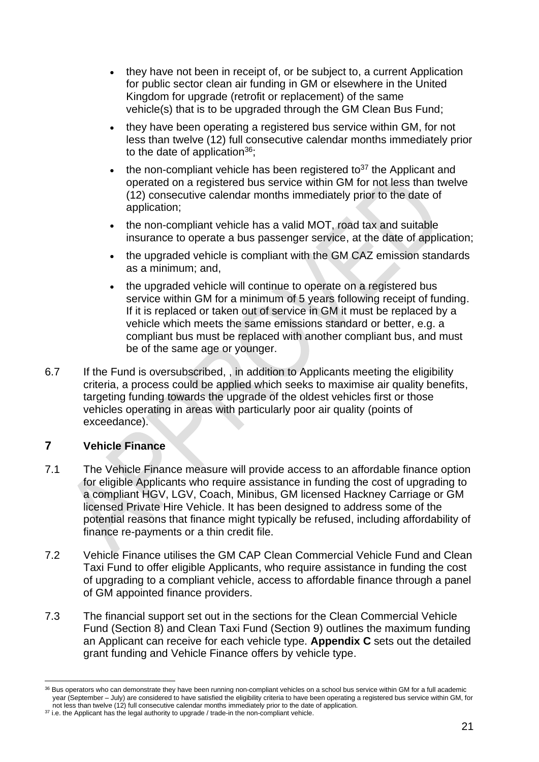- they have not been in receipt of, or be subject to, a current Application for public sector clean air funding in GM or elsewhere in the United Kingdom for upgrade (retrofit or replacement) of the same vehicle(s) that is to be upgraded through the GM Clean Bus Fund;
- they have been operating a registered bus service within GM, for not less than twelve (12) full consecutive calendar months immediately prior to the date of application<sup>36</sup>:
- the non-compliant vehicle has been registered to<sup>37</sup> the Applicant and operated on a registered bus service within GM for not less than twelve (12) consecutive calendar months immediately prior to the date of application;
- the non-compliant vehicle has a valid MOT, road tax and suitable insurance to operate a bus passenger service, at the date of application;
- the upgraded vehicle is compliant with the GM CAZ emission standards as a minimum; and,
- the upgraded vehicle will continue to operate on a registered bus service within GM for a minimum of 5 years following receipt of funding. If it is replaced or taken out of service in GM it must be replaced by a vehicle which meets the same emissions standard or better, e.g. a compliant bus must be replaced with another compliant bus, and must be of the same age or younger.
- 6.7 If the Fund is oversubscribed, , in addition to Applicants meeting the eligibility criteria, a process could be applied which seeks to maximise air quality benefits, targeting funding towards the upgrade of the oldest vehicles first or those vehicles operating in areas with particularly poor air quality (points of exceedance).

#### **7 Vehicle Finance**

- 7.1 The Vehicle Finance measure will provide access to an affordable finance option for eligible Applicants who require assistance in funding the cost of upgrading to a compliant HGV, LGV, Coach, Minibus, GM licensed Hackney Carriage or GM licensed Private Hire Vehicle. It has been designed to address some of the potential reasons that finance might typically be refused, including affordability of finance re-payments or a thin credit file.
- 7.2 Vehicle Finance utilises the GM CAP Clean Commercial Vehicle Fund and Clean Taxi Fund to offer eligible Applicants, who require assistance in funding the cost of upgrading to a compliant vehicle, access to affordable finance through a panel of GM appointed finance providers.
- 7.3 The financial support set out in the sections for the Clean Commercial Vehicle Fund (Section 8) and Clean Taxi Fund (Section 9) outlines the maximum funding an Applicant can receive for each vehicle type. **Appendix C** sets out the detailed grant funding and Vehicle Finance offers by vehicle type.

<sup>&</sup>lt;sup>36</sup> Bus operators who can demonstrate they have been running non-compliant vehicles on a school bus service within GM for a full academic year (September – July) are considered to have satisfied the eligibility criteria to have been operating a registered bus service within GM, for not less than twelve (12) full consecutive calendar months immediately prior to the date of application.

<sup>&</sup>lt;sup>37</sup> i.e. the Applicant has the legal authority to upgrade / trade-in the non-compliant vehicle.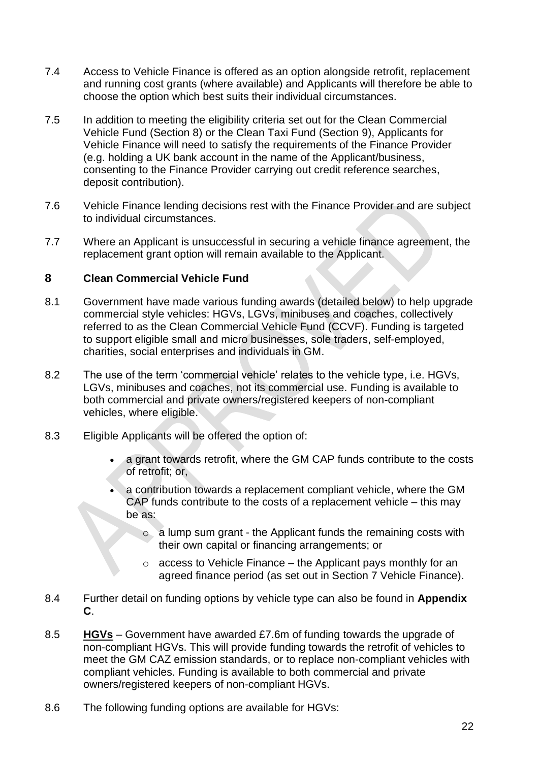- 7.4 Access to Vehicle Finance is offered as an option alongside retrofit, replacement and running cost grants (where available) and Applicants will therefore be able to choose the option which best suits their individual circumstances.
- 7.5 In addition to meeting the eligibility criteria set out for the Clean Commercial Vehicle Fund (Section 8) or the Clean Taxi Fund (Section 9), Applicants for Vehicle Finance will need to satisfy the requirements of the Finance Provider (e.g. holding a UK bank account in the name of the Applicant/business, consenting to the Finance Provider carrying out credit reference searches, deposit contribution).
- 7.6 Vehicle Finance lending decisions rest with the Finance Provider and are subject to individual circumstances.
- 7.7 Where an Applicant is unsuccessful in securing a vehicle finance agreement, the replacement grant option will remain available to the Applicant.

#### **8 Clean Commercial Vehicle Fund**

- 8.1 Government have made various funding awards (detailed below) to help upgrade commercial style vehicles: HGVs, LGVs, minibuses and coaches, collectively referred to as the Clean Commercial Vehicle Fund (CCVF). Funding is targeted to support eligible small and micro businesses, sole traders, self-employed, charities, social enterprises and individuals in GM.
- 8.2 The use of the term 'commercial vehicle' relates to the vehicle type, i.e. HGVs, LGVs, minibuses and coaches, not its commercial use. Funding is available to both commercial and private owners/registered keepers of non-compliant vehicles, where eligible.
- 8.3 Eligible Applicants will be offered the option of:
	- a grant towards retrofit, where the GM CAP funds contribute to the costs of retrofit; or,
	- a contribution towards a replacement compliant vehicle, where the GM CAP funds contribute to the costs of a replacement vehicle – this may be as:
		- o a lump sum grant the Applicant funds the remaining costs with their own capital or financing arrangements; or
		- $\circ$  access to Vehicle Finance the Applicant pays monthly for an agreed finance period (as set out in Section 7 Vehicle Finance).
- 8.4 Further detail on funding options by vehicle type can also be found in **Appendix C**.
- 8.5 **HGVs** Government have awarded £7.6m of funding towards the upgrade of non-compliant HGVs. This will provide funding towards the retrofit of vehicles to meet the GM CAZ emission standards, or to replace non-compliant vehicles with compliant vehicles. Funding is available to both commercial and private owners/registered keepers of non-compliant HGVs.
- 8.6 The following funding options are available for HGVs: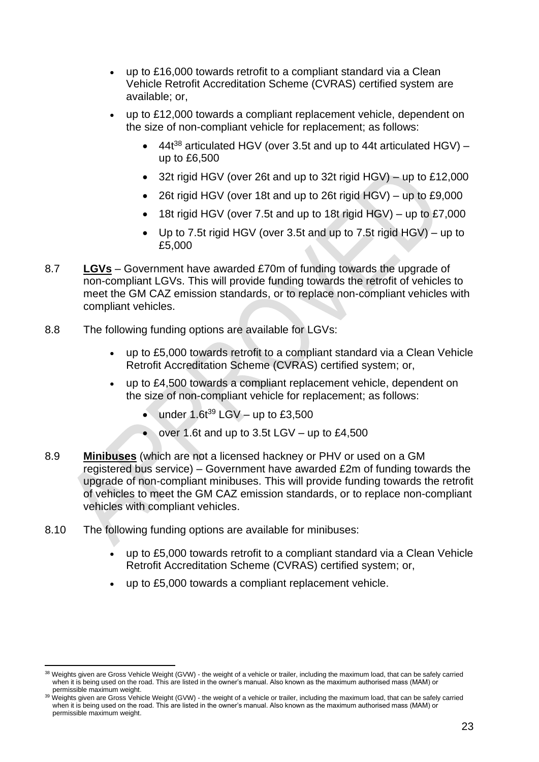- up to £16,000 towards retrofit to a compliant standard via a Clean Vehicle Retrofit Accreditation Scheme (CVRAS) certified system are available; or,
- up to £12,000 towards a compliant replacement vehicle, dependent on the size of non-compliant vehicle for replacement; as follows:
	- 44 $t^{38}$  articulated HGV (over 3.5t and up to 44t articulated HGV) up to £6,500
	- 32t rigid HGV (over 26t and up to 32t rigid HGV) up to £12,000
	- 26t rigid HGV (over 18t and up to 26t rigid HGV) up to £9,000
	- $\bullet$  18t rigid HGV (over 7.5t and up to 18t rigid HGV) up to £7,000
	- Up to 7.5t rigid HGV (over 3.5t and up to 7.5t rigid HGV) up to £5,000
- 8.7 **LGVs** Government have awarded £70m of funding towards the upgrade of non-compliant LGVs. This will provide funding towards the retrofit of vehicles to meet the GM CAZ emission standards, or to replace non-compliant vehicles with compliant vehicles.
- 8.8 The following funding options are available for LGVs:
	- up to £5,000 towards retrofit to a compliant standard via a Clean Vehicle Retrofit Accreditation Scheme (CVRAS) certified system; or,
	- up to £4,500 towards a compliant replacement vehicle, dependent on the size of non-compliant vehicle for replacement; as follows:
		- under  $1.6t^{39}$  LGV up to £3,500
		- over 1.6t and up to 3.5t  $LGV up$  to £4,500
- 8.9 **Minibuses** (which are not a licensed hackney or PHV or used on a GM registered bus service) – Government have awarded £2m of funding towards the upgrade of non-compliant minibuses. This will provide funding towards the retrofit of vehicles to meet the GM CAZ emission standards, or to replace non-compliant vehicles with compliant vehicles.
- 8.10 The following funding options are available for minibuses:
	- up to £5,000 towards retrofit to a compliant standard via a Clean Vehicle Retrofit Accreditation Scheme (CVRAS) certified system; or,
	- up to £5,000 towards a compliant replacement vehicle.

<sup>&</sup>lt;sup>38</sup> Weights given are Gross Vehicle Weight (GVW) - the weight of a vehicle or trailer, including the maximum load, that can be safely carried when it is being used on the road. This are listed in the owner's manual. Also known as the maximum authorised mass (MAM) or permissible maximum weight.

<sup>&</sup>lt;sup>39</sup> Weights given are Gross Vehicle Weight (GVW) - the weight of a vehicle or trailer, including the maximum load, that can be safely carried when it is being used on the road. This are listed in the owner's manual. Also known as the maximum authorised mass (MAM) or permissible maximum weight.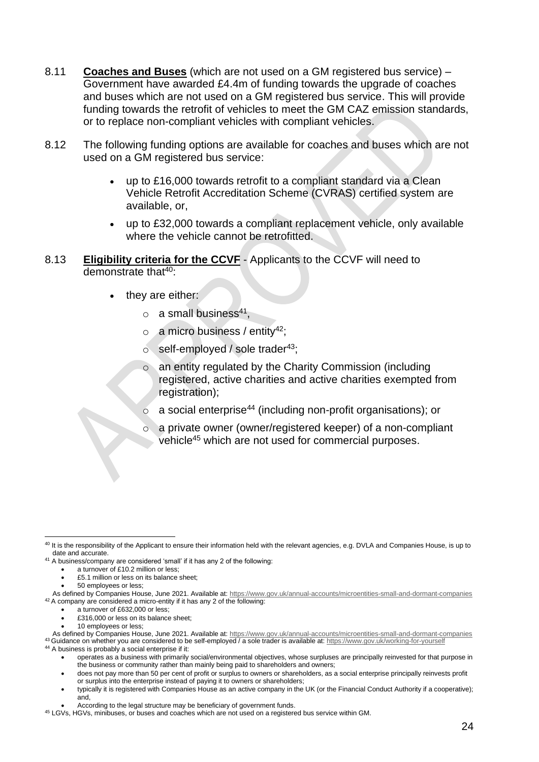- 8.11 **Coaches and Buses** (which are not used on a GM registered bus service) Government have awarded £4.4m of funding towards the upgrade of coaches and buses which are not used on a GM registered bus service. This will provide funding towards the retrofit of vehicles to meet the GM CAZ emission standards, or to replace non-compliant vehicles with compliant vehicles.
- 8.12 The following funding options are available for coaches and buses which are not used on a GM registered bus service:
	- up to £16,000 towards retrofit to a compliant standard via a Clean Vehicle Retrofit Accreditation Scheme (CVRAS) certified system are available, or,
	- up to £32,000 towards a compliant replacement vehicle, only available where the vehicle cannot be retrofitted.
- 8.13 **Eligibility criteria for the CCVF** Applicants to the CCVF will need to demonstrate that  $40$ :
	- they are either:
		- $\circ$  a small business<sup>41</sup>,
		- $\circ$  a micro business / entity<sup>42</sup>;
		- $\circ$  self-employed / sole trader<sup>43</sup>;
		- o an entity regulated by the Charity Commission (including registered, active charities and active charities exempted from registration);
		- a social enterprise<sup>44</sup> (including non-profit organisations); or
		- a private owner (owner/registered keeper) of a non-compliant vehicle<sup>45</sup> which are not used for commercial purposes.

<sup>40</sup> It is the responsibility of the Applicant to ensure their information held with the relevant agencies, e.g. DVLA and Companies House, is up to date and accurate.

<sup>41</sup> A business/company are considered 'small' if it has any 2 of the following:

<sup>•</sup> a turnover of £10.2 million or less;

<sup>• £5.1</sup> million or less on its balance sheet;

<sup>•</sup> 50 employees or less;

As defined by Companies House, June 2021. Available at[: https://www.gov.uk/annual-accounts/microentities-small-and-dormant-companies](https://www.gov.uk/annual-accounts/microentities-small-and-dormant-companies) <sup>42</sup> A company are considered a micro-entity if it has any 2 of the following:

a turnover of £632,000 or less;

<sup>•</sup> £316,000 or less on its balance sheet;

<sup>•</sup> 10 employees or less;

As defined by Companies House, June 2021. Available at[: https://www.gov.uk/annual-accounts/microentities-small-and-dormant-companies](https://www.gov.uk/annual-accounts/microentities-small-and-dormant-companies) <sup>43</sup> Guidance on whether you are considered to be self-employed / a sole trader is available at:<https://www.gov.uk/working-for-yourself>

<sup>44</sup> A business is probably a social enterprise if it:

<sup>•</sup> operates as a business with primarily social/environmental objectives, whose surpluses are principally reinvested for that purpose in the business or community rather than mainly being paid to shareholders and owners;

<sup>•</sup> does not pay more than 50 per cent of profit or surplus to owners or shareholders, as a social enterprise principally reinvests profit or surplus into the enterprise instead of paying it to owners or shareholders;

<sup>•</sup> typically it is registered with Companies House as an active company in the UK (or the Financial Conduct Authority if a cooperative); and,

<sup>•</sup> According to the legal structure may be beneficiary of government funds.

<sup>45</sup> LGVs, HGVs, minibuses, or buses and coaches which are not used on a registered bus service within GM.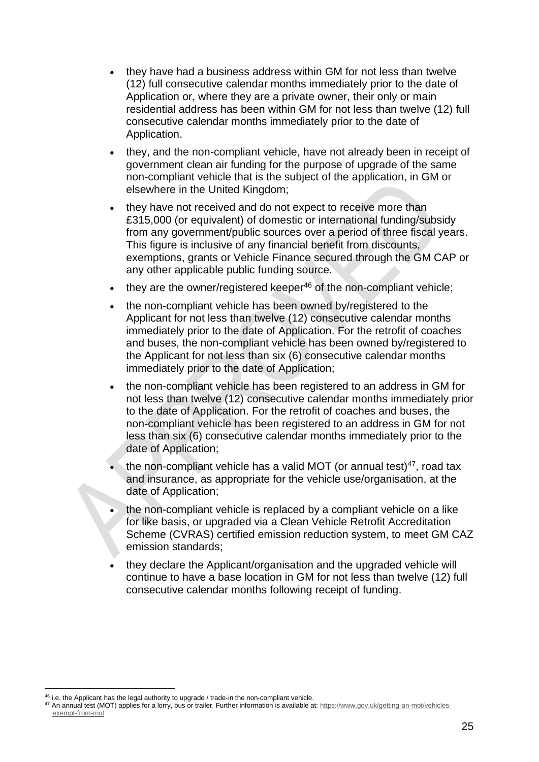- they have had a business address within GM for not less than twelve (12) full consecutive calendar months immediately prior to the date of Application or, where they are a private owner, their only or main residential address has been within GM for not less than twelve (12) full consecutive calendar months immediately prior to the date of Application.
- they, and the non-compliant vehicle, have not already been in receipt of government clean air funding for the purpose of upgrade of the same non-compliant vehicle that is the subject of the application, in GM or elsewhere in the United Kingdom;
- they have not received and do not expect to receive more than £315,000 (or equivalent) of domestic or international funding/subsidy from any government/public sources over a period of three fiscal years. This figure is inclusive of any financial benefit from discounts, exemptions, grants or Vehicle Finance secured through the GM CAP or any other applicable public funding source.
- $\bullet$  they are the owner/registered keeper<sup>46</sup> of the non-compliant vehicle;
- the non-compliant vehicle has been owned by/registered to the Applicant for not less than twelve (12) consecutive calendar months immediately prior to the date of Application. For the retrofit of coaches and buses, the non-compliant vehicle has been owned by/registered to the Applicant for not less than six (6) consecutive calendar months immediately prior to the date of Application;
- the non-compliant vehicle has been registered to an address in GM for not less than twelve (12) consecutive calendar months immediately prior to the date of Application. For the retrofit of coaches and buses, the non-compliant vehicle has been registered to an address in GM for not less than six (6) consecutive calendar months immediately prior to the date of Application;
- the non-compliant vehicle has a valid MOT (or annual test)<sup>47</sup>, road tax and insurance, as appropriate for the vehicle use/organisation, at the date of Application;
- the non-compliant vehicle is replaced by a compliant vehicle on a like for like basis, or upgraded via a Clean Vehicle Retrofit Accreditation Scheme (CVRAS) certified emission reduction system, to meet GM CAZ emission standards;
- they declare the Applicant/organisation and the upgraded vehicle will continue to have a base location in GM for not less than twelve (12) full consecutive calendar months following receipt of funding.

<sup>46</sup> i.e. the Applicant has the legal authority to upgrade / trade-in the non-compliant vehicle.

<sup>47</sup> An annual test (MOT) applies for a lorry, bus or trailer. Further information is available at[: https://www.gov.uk/getting-an-mot/vehicles](https://www.gov.uk/getting-an-mot/vehicles-exempt-from-mot)[exempt-from-mot](https://www.gov.uk/getting-an-mot/vehicles-exempt-from-mot)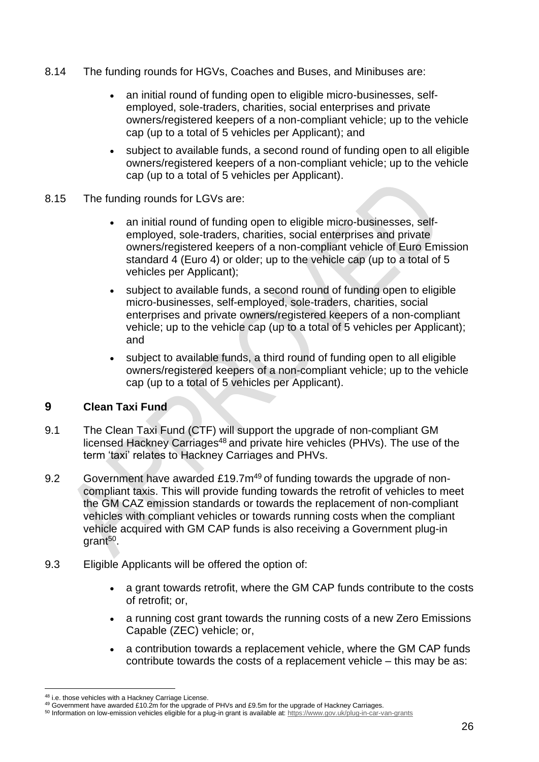- 8.14 The funding rounds for HGVs, Coaches and Buses, and Minibuses are:
	- an initial round of funding open to eligible micro-businesses, selfemployed, sole-traders, charities, social enterprises and private owners/registered keepers of a non-compliant vehicle; up to the vehicle cap (up to a total of 5 vehicles per Applicant); and
	- subject to available funds, a second round of funding open to all eligible owners/registered keepers of a non-compliant vehicle; up to the vehicle cap (up to a total of 5 vehicles per Applicant).
- 8.15 The funding rounds for LGVs are:
	- an initial round of funding open to eligible micro-businesses, selfemployed, sole-traders, charities, social enterprises and private owners/registered keepers of a non-compliant vehicle of Euro Emission standard 4 (Euro 4) or older; up to the vehicle cap (up to a total of 5 vehicles per Applicant);
	- subject to available funds, a second round of funding open to eligible micro-businesses, self-employed, sole-traders, charities, social enterprises and private owners/registered keepers of a non-compliant vehicle; up to the vehicle cap (up to a total of 5 vehicles per Applicant); and
	- subject to available funds, a third round of funding open to all eligible owners/registered keepers of a non-compliant vehicle; up to the vehicle cap (up to a total of 5 vehicles per Applicant).

#### **9 Clean Taxi Fund**

- 9.1 The Clean Taxi Fund (CTF) will support the upgrade of non-compliant GM licensed Hackney Carriages<sup>48</sup> and private hire vehicles (PHVs). The use of the term 'taxi' relates to Hackney Carriages and PHVs.
- 9.2 Government have awarded £19.7m<sup>49</sup> of funding towards the upgrade of noncompliant taxis. This will provide funding towards the retrofit of vehicles to meet the GM CAZ emission standards or towards the replacement of non-compliant vehicles with compliant vehicles or towards running costs when the compliant vehicle acquired with GM CAP funds is also receiving a Government plug-in grant<sup>50</sup>.
- 9.3 Eligible Applicants will be offered the option of:
	- a grant towards retrofit, where the GM CAP funds contribute to the costs of retrofit; or,
	- a running cost grant towards the running costs of a new Zero Emissions Capable (ZEC) vehicle; or,
	- a contribution towards a replacement vehicle, where the GM CAP funds contribute towards the costs of a replacement vehicle – this may be as:

<sup>48</sup> i.e. those vehicles with a Hackney Carriage License.

<sup>49</sup> Government have awarded £10.2m for the upgrade of PHVs and £9.5m for the upgrade of Hackney Carriages.

<sup>50</sup> Information on low-emission vehicles eligible for a plug-in grant is available at:<https://www.gov.uk/plug-in-car-van-grants>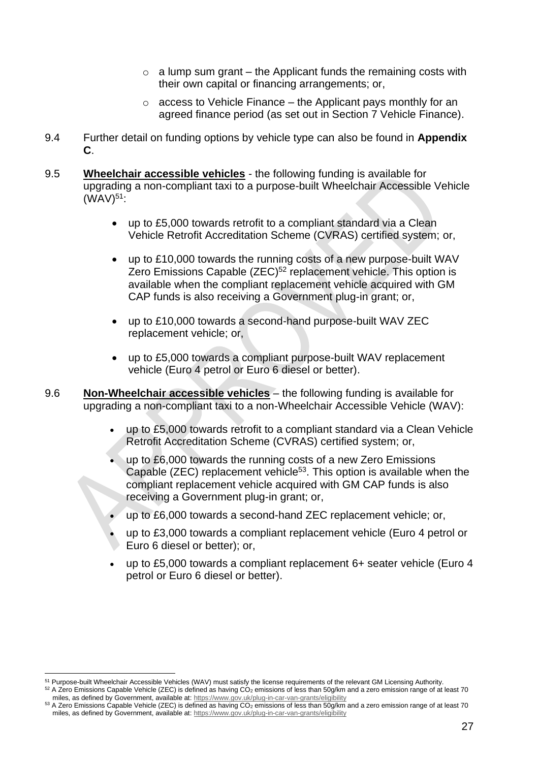- $\circ$  a lump sum grant the Applicant funds the remaining costs with their own capital or financing arrangements; or,
- $\circ$  access to Vehicle Finance the Applicant pays monthly for an agreed finance period (as set out in Section 7 Vehicle Finance).
- 9.4 Further detail on funding options by vehicle type can also be found in **Appendix C**.
- 9.5 **Wheelchair accessible vehicles** the following funding is available for upgrading a non-compliant taxi to a purpose-built Wheelchair Accessible Vehicle  $(WAV)^{51}$ :
	- up to £5,000 towards retrofit to a compliant standard via a Clean Vehicle Retrofit Accreditation Scheme (CVRAS) certified system; or,
	- up to £10,000 towards the running costs of a new purpose-built WAV Zero Emissions Capable (ZEC)<sup>52</sup> replacement vehicle. This option is available when the compliant replacement vehicle acquired with GM CAP funds is also receiving a Government plug-in grant; or,
	- up to £10,000 towards a second-hand purpose-built WAV ZEC replacement vehicle; or,
	- up to £5,000 towards a compliant purpose-built WAV replacement vehicle (Euro 4 petrol or Euro 6 diesel or better).

9.6 **Non-Wheelchair accessible vehicles** – the following funding is available for upgrading a non-compliant taxi to a non-Wheelchair Accessible Vehicle (WAV):

- up to £5,000 towards retrofit to a compliant standard via a Clean Vehicle Retrofit Accreditation Scheme (CVRAS) certified system; or,
- up to £6,000 towards the running costs of a new Zero Emissions Capable (ZEC) replacement vehicle<sup>53</sup>. This option is available when the compliant replacement vehicle acquired with GM CAP funds is also receiving a Government plug-in grant; or,
- up to £6,000 towards a second-hand ZEC replacement vehicle; or,
- up to £3,000 towards a compliant replacement vehicle (Euro 4 petrol or Euro 6 diesel or better); or,
- up to £5,000 towards a compliant replacement 6+ seater vehicle (Euro 4 petrol or Euro 6 diesel or better).

<sup>&</sup>lt;sup>51</sup> Purpose-built Wheelchair Accessible Vehicles (WAV) must satisfy the license requirements of the relevant GM Licensing Authority.  $52$  A Zero Emissions Capable Vehicle (ZEC) is defined as having CO<sub>2</sub> emissions of less than 50g/km and a zero emission range of at least 70

miles, as defined by Government, available at:<https://www.gov.uk/plug-in-car-van-grants/eligibility>

 $53$  A Zero Emissions Capable Vehicle (ZEC) is defined as having CO<sub>2</sub> emissions of less than 50g/km and a zero emission range of at least 70 miles, as defined by Government, available at:<https://www.gov.uk/plug-in-car-van-grants/eligibility>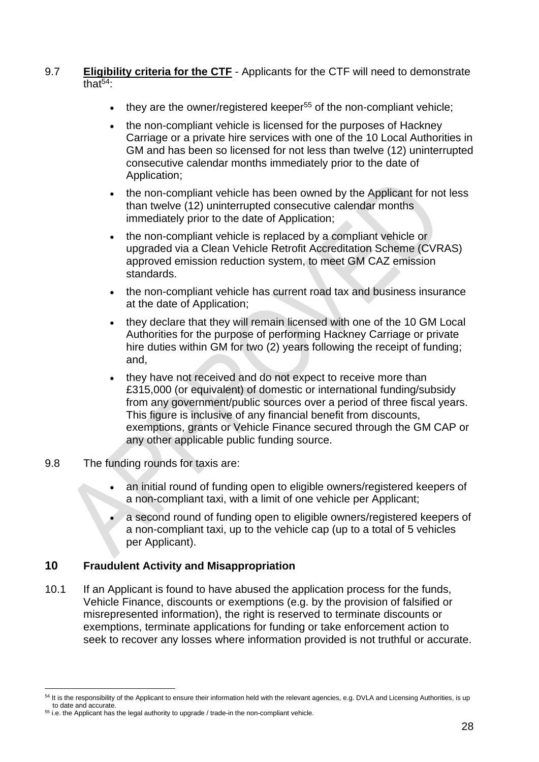#### 9.7 **Eligibility criteria for the CTF** - Applicants for the CTF will need to demonstrate that $54$

- $\bullet$  they are the owner/registered keeper<sup>55</sup> of the non-compliant vehicle;
- the non-compliant vehicle is licensed for the purposes of Hackney Carriage or a private hire services with one of the 10 Local Authorities in GM and has been so licensed for not less than twelve (12) uninterrupted consecutive calendar months immediately prior to the date of Application;
- the non-compliant vehicle has been owned by the Applicant for not less than twelve (12) uninterrupted consecutive calendar months immediately prior to the date of Application;
- the non-compliant vehicle is replaced by a compliant vehicle or upgraded via a Clean Vehicle Retrofit Accreditation Scheme (CVRAS) approved emission reduction system, to meet GM CAZ emission standards.
- the non-compliant vehicle has current road tax and business insurance at the date of Application;
- they declare that they will remain licensed with one of the 10 GM Local Authorities for the purpose of performing Hackney Carriage or private hire duties within GM for two (2) years following the receipt of funding; and,
- they have not received and do not expect to receive more than £315,000 (or equivalent) of domestic or international funding/subsidy from any government/public sources over a period of three fiscal years. This figure is inclusive of any financial benefit from discounts, exemptions, grants or Vehicle Finance secured through the GM CAP or any other applicable public funding source.
- 9.8 The funding rounds for taxis are:
	- an initial round of funding open to eligible owners/registered keepers of a non-compliant taxi, with a limit of one vehicle per Applicant;
	- a second round of funding open to eligible owners/registered keepers of a non-compliant taxi, up to the vehicle cap (up to a total of 5 vehicles per Applicant).

#### **10 Fraudulent Activity and Misappropriation**

10.1 If an Applicant is found to have abused the application process for the funds, Vehicle Finance, discounts or exemptions (e.g. by the provision of falsified or misrepresented information), the right is reserved to terminate discounts or exemptions, terminate applications for funding or take enforcement action to seek to recover any losses where information provided is not truthful or accurate.

<sup>54</sup> It is the responsibility of the Applicant to ensure their information held with the relevant agencies, e.g. DVLA and Licensing Authorities, is up to date and accurate.

<sup>&</sup>lt;sup>55</sup> i.e. the Applicant has the legal authority to upgrade / trade-in the non-compliant vehicle.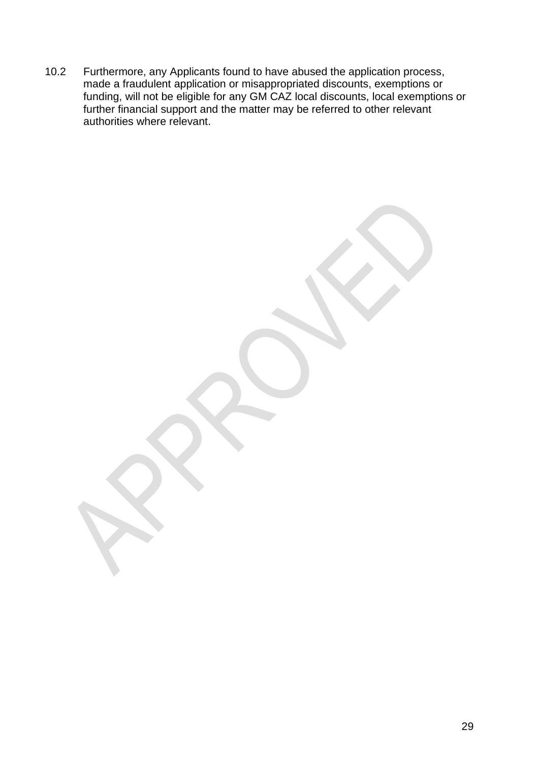10.2 Furthermore, any Applicants found to have abused the application process, made a fraudulent application or misappropriated discounts, exemptions or funding, will not be eligible for any GM CAZ local discounts, local exemptions or further financial support and the matter may be referred to other relevant authorities where relevant.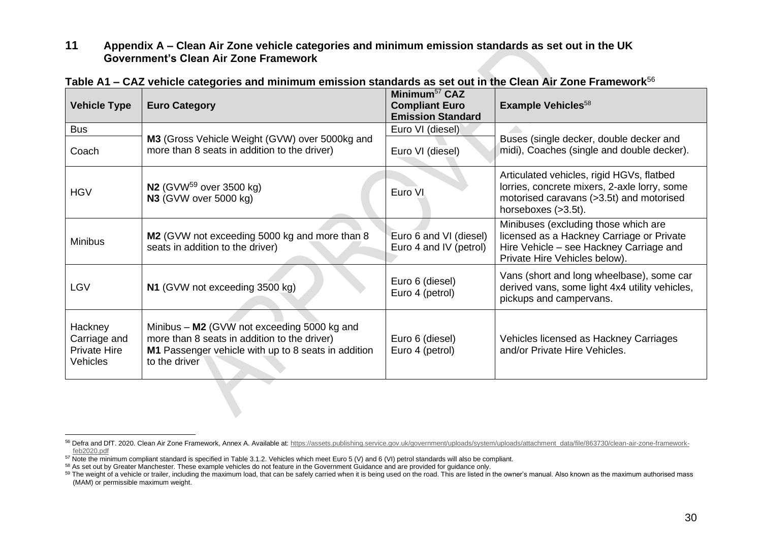**11 Appendix A – Clean Air Zone vehicle categories and minimum emission standards as set out in the UK Government's Clean Air Zone Framework**

| <b>Vehicle Type</b>                                               | <b>Euro Category</b>                                                                                                                                                | Minimum <sup>57</sup> CAZ<br><b>Compliant Euro</b><br><b>Emission Standard</b> | Example Vehicles <sup>58</sup>                                                                                                                                |
|-------------------------------------------------------------------|---------------------------------------------------------------------------------------------------------------------------------------------------------------------|--------------------------------------------------------------------------------|---------------------------------------------------------------------------------------------------------------------------------------------------------------|
| <b>Bus</b>                                                        |                                                                                                                                                                     | Euro VI (diesel)                                                               |                                                                                                                                                               |
| Coach                                                             | M3 (Gross Vehicle Weight (GVW) over 5000kg and<br>more than 8 seats in addition to the driver)                                                                      | Euro VI (diesel)                                                               | Buses (single decker, double decker and<br>midi), Coaches (single and double decker).                                                                         |
| <b>HGV</b>                                                        | <b>N2</b> (GVW <sup>59</sup> over 3500 kg)<br><b>N3</b> (GVW over 5000 kg)                                                                                          | Euro VI                                                                        | Articulated vehicles, rigid HGVs, flatbed<br>lorries, concrete mixers, 2-axle lorry, some<br>motorised caravans (>3.5t) and motorised<br>horseboxes (>3.5t).  |
| <b>Minibus</b>                                                    | M2 (GVW not exceeding 5000 kg and more than 8<br>seats in addition to the driver)                                                                                   | Euro 6 and VI (diesel)<br>Euro 4 and IV (petrol)                               | Minibuses (excluding those which are<br>licensed as a Hackney Carriage or Private<br>Hire Vehicle – see Hackney Carriage and<br>Private Hire Vehicles below). |
| <b>LGV</b>                                                        | N1 (GVW not exceeding 3500 kg)                                                                                                                                      | Euro 6 (diesel)<br>Euro 4 (petrol)                                             | Vans (short and long wheelbase), some car<br>derived vans, some light 4x4 utility vehicles,<br>pickups and campervans.                                        |
| Hackney<br>Carriage and<br><b>Private Hire</b><br><b>Vehicles</b> | Minibus - M2 (GVW not exceeding 5000 kg and<br>more than 8 seats in addition to the driver)<br>M1 Passenger vehicle with up to 8 seats in addition<br>to the driver | Euro 6 (diesel)<br>Euro 4 (petrol)                                             | Vehicles licensed as Hackney Carriages<br>and/or Private Hire Vehicles.                                                                                       |

**Table A1 – CAZ vehicle categories and minimum emission standards as set out in the Clean Air Zone Framework**<sup>56</sup>

<sup>56</sup> Defra and DfT. 2020. Clean Air Zone Framework, Annex A. Available at: [https://assets.publishing.service.gov.uk/government/uploads/system/uploads/attachment\\_data/file/863730/clean-air-zone-framework](https://assets.publishing.service.gov.uk/government/uploads/system/uploads/attachment_data/file/863730/clean-air-zone-framework-feb2020.pdf)[feb2020.pdf](https://assets.publishing.service.gov.uk/government/uploads/system/uploads/attachment_data/file/863730/clean-air-zone-framework-feb2020.pdf)

<sup>&</sup>lt;sup>57</sup> Note the minimum compliant standard is specified in Table 3.1.2. Vehicles which meet Euro 5 (V) and 6 (VI) petrol standards will also be compliant.

<sup>58</sup> As set out by Greater Manchester. These example vehicles do not feature in the Government Guidance and are provided for guidance only.

<sup>&</sup>lt;sup>59</sup> The weight of a vehicle or trailer, including the maximum load, that can be safely carried when it is being used on the road. This are listed in the owner's manual. Also known as the maximum authorised mass (MAM) or permissible maximum weight.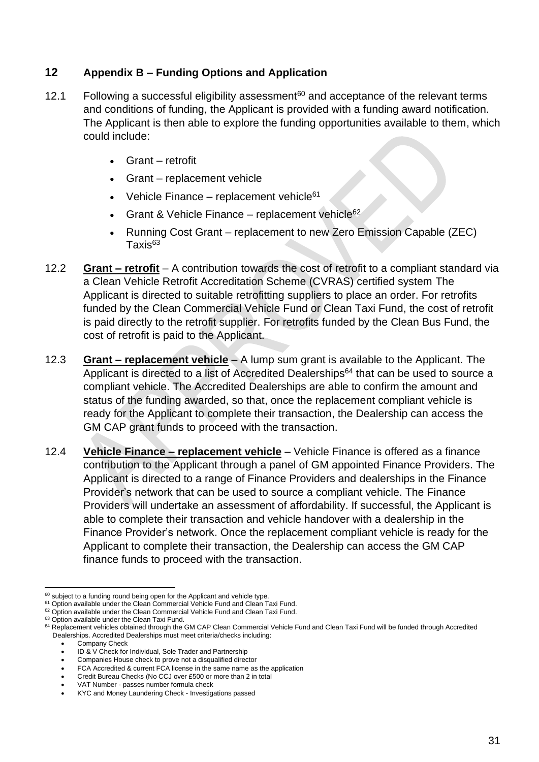#### **12 Appendix B – Funding Options and Application**

- 12.1 Following a successful eligibility assessment<sup>60</sup> and acceptance of the relevant terms and conditions of funding, the Applicant is provided with a funding award notification. The Applicant is then able to explore the funding opportunities available to them, which could include:
	- Grant retrofit
	- Grant replacement vehicle
	- Vehicle Finance replacement vehicle $61$
	- Grant & Vehicle Finance replacement vehicle $62$
	- Running Cost Grant replacement to new Zero Emission Capable (ZEC)  $T$ axis $63$
- 12.2 **Grant – retrofit** A contribution towards the cost of retrofit to a compliant standard via a Clean Vehicle Retrofit Accreditation Scheme (CVRAS) certified system The Applicant is directed to suitable retrofitting suppliers to place an order. For retrofits funded by the Clean Commercial Vehicle Fund or Clean Taxi Fund, the cost of retrofit is paid directly to the retrofit supplier. For retrofits funded by the Clean Bus Fund, the cost of retrofit is paid to the Applicant.
- 12.3 **Grant – replacement vehicle** A lump sum grant is available to the Applicant. The Applicant is directed to a list of Accredited Dealerships $64$  that can be used to source a compliant vehicle. The Accredited Dealerships are able to confirm the amount and status of the funding awarded, so that, once the replacement compliant vehicle is ready for the Applicant to complete their transaction, the Dealership can access the GM CAP grant funds to proceed with the transaction.
- 12.4 **Vehicle Finance – replacement vehicle** Vehicle Finance is offered as a finance contribution to the Applicant through a panel of GM appointed Finance Providers. The Applicant is directed to a range of Finance Providers and dealerships in the Finance Provider's network that can be used to source a compliant vehicle. The Finance Providers will undertake an assessment of affordability. If successful, the Applicant is able to complete their transaction and vehicle handover with a dealership in the Finance Provider's network. Once the replacement compliant vehicle is ready for the Applicant to complete their transaction, the Dealership can access the GM CAP finance funds to proceed with the transaction.

Company Check

 $60$  subject to a funding round being open for the Applicant and vehicle type.

<sup>&</sup>lt;sup>61</sup> Option available under the Clean Commercial Vehicle Fund and Clean Taxi Fund.

<sup>&</sup>lt;sup>62</sup> Option available under the Clean Commercial Vehicle Fund and Clean Taxi Fund.

<sup>&</sup>lt;sup>63</sup> Option available under the Clean Taxi Fund.

<sup>64</sup> Replacement vehicles obtained through the GM CAP Clean Commercial Vehicle Fund and Clean Taxi Fund will be funded through Accredited Dealerships. Accredited Dealerships must meet criteria/checks including:

ID & V Check for Individual, Sole Trader and Partnership

<sup>•</sup> Companies House check to prove not a disqualified director

<sup>•</sup> FCA Accredited & current FCA license in the same name as the application

<sup>•</sup> Credit Bureau Checks (No CCJ over £500 or more than 2 in total

<sup>•</sup> VAT Number - passes number formula check

<sup>•</sup> KYC and Money Laundering Check - Investigations passed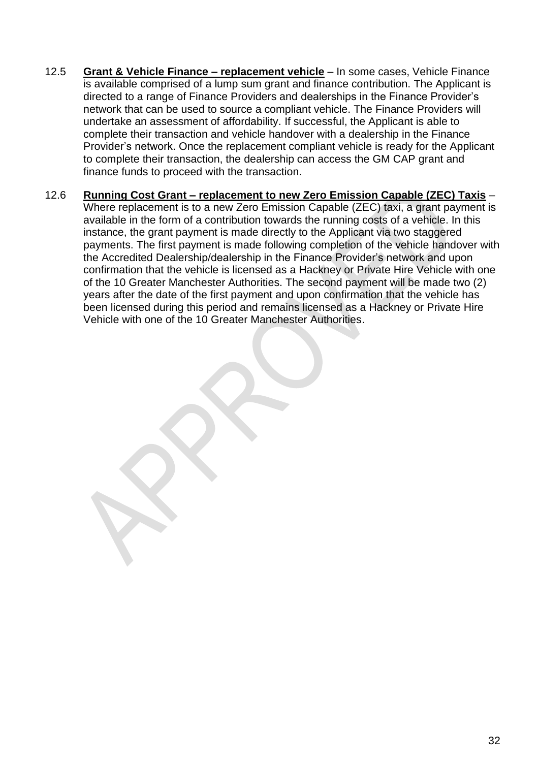- 12.5 **Grant & Vehicle Finance – replacement vehicle** In some cases, Vehicle Finance is available comprised of a lump sum grant and finance contribution. The Applicant is directed to a range of Finance Providers and dealerships in the Finance Provider's network that can be used to source a compliant vehicle. The Finance Providers will undertake an assessment of affordability. If successful, the Applicant is able to complete their transaction and vehicle handover with a dealership in the Finance Provider's network. Once the replacement compliant vehicle is ready for the Applicant to complete their transaction, the dealership can access the GM CAP grant and finance funds to proceed with the transaction.
- 12.6 **Running Cost Grant – replacement to new Zero Emission Capable (ZEC) Taxis** Where replacement is to a new Zero Emission Capable (ZEC) taxi, a grant payment is available in the form of a contribution towards the running costs of a vehicle. In this instance, the grant payment is made directly to the Applicant via two staggered payments. The first payment is made following completion of the vehicle handover with the Accredited Dealership/dealership in the Finance Provider's network and upon confirmation that the vehicle is licensed as a Hackney or Private Hire Vehicle with one of the 10 Greater Manchester Authorities. The second payment will be made two (2) years after the date of the first payment and upon confirmation that the vehicle has been licensed during this period and remains licensed as a Hackney or Private Hire Vehicle with one of the 10 Greater Manchester Authorities.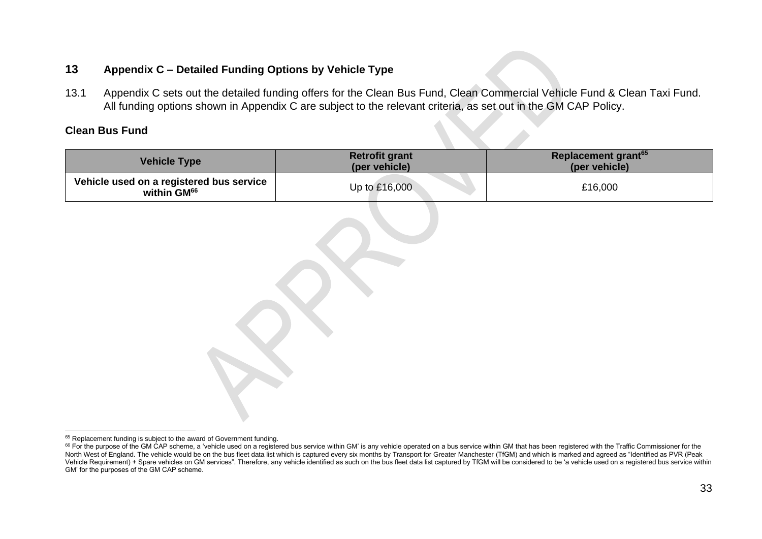#### **13 Appendix C – Detailed Funding Options by Vehicle Type**

13.1 Appendix C sets out the detailed funding offers for the Clean Bus Fund, Clean Commercial Vehicle Fund & Clean Taxi Fund. All funding options shown in Appendix C are subject to the relevant criteria, as set out in the GM CAP Policy.

#### **Clean Bus Fund**

| <b>Vehicle Type</b>                                                                  | <b>Retrofit grant</b><br>(per vehicle) | Replacement grant <sup>65</sup><br>(per vehicle) |  |
|--------------------------------------------------------------------------------------|----------------------------------------|--------------------------------------------------|--|
| Vehicle used on a registered bus service<br>within GM <sup>66</sup><br>Up to £16,000 |                                        | £16,000                                          |  |
|                                                                                      |                                        |                                                  |  |

<sup>&</sup>lt;sup>65</sup> Replacement funding is subject to the award of Government funding.

<sup>&</sup>lt;sup>66</sup> For the purpose of the GM CAP scheme, a 'vehicle used on a registered bus service within GM' is any vehicle operated on a bus service within GM that has been registered with the Traffic Commissioner for the North West of England. The vehicle would be on the bus fleet data list which is captured every six months by Transport for Greater Manchester (TfGM) and which is marked and agreed as "Identified as PVR (Peak Vehicle Requirement) + Spare vehicles on GM services". Therefore, any vehicle identified as such on the bus fleet data list captured by TfGM will be considered to be 'a vehicle used on a registered bus service within GM' for the purposes of the GM CAP scheme.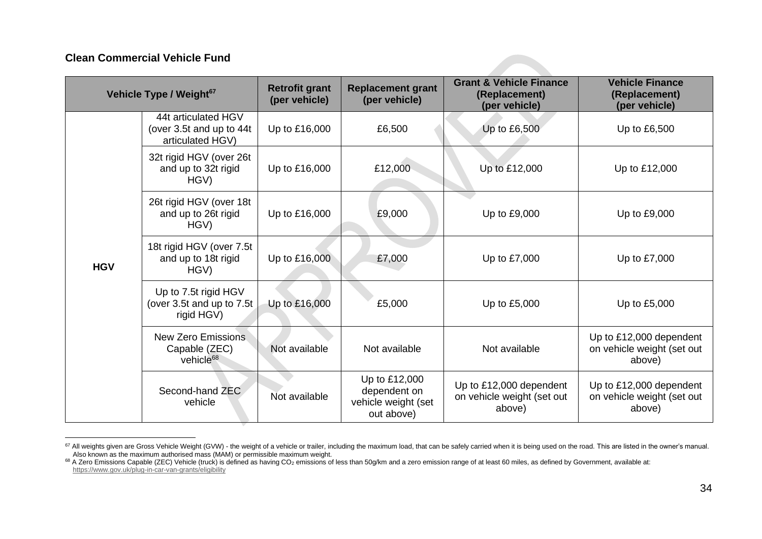#### **Clean Commercial Vehicle Fund**

| Vehicle Type / Weight <sup>67</sup> |                                                                     | <b>Retrofit grant</b><br>(per vehicle) | <b>Replacement grant</b><br>(per vehicle)                          | <b>Grant &amp; Vehicle Finance</b><br>(Replacement)<br>(per vehicle) | <b>Vehicle Finance</b><br>(Replacement)<br>(per vehicle)        |
|-------------------------------------|---------------------------------------------------------------------|----------------------------------------|--------------------------------------------------------------------|----------------------------------------------------------------------|-----------------------------------------------------------------|
| <b>HGV</b>                          | 44t articulated HGV<br>(over 3.5t and up to 44t<br>articulated HGV) | Up to £16,000                          | £6,500                                                             | Up to £6,500                                                         | Up to £6,500                                                    |
|                                     | 32t rigid HGV (over 26t<br>and up to 32t rigid<br>HGV)              | Up to £16,000                          | £12,000                                                            | Up to £12,000                                                        | Up to £12,000                                                   |
|                                     | 26t rigid HGV (over 18t<br>and up to 26t rigid<br>HGV)              | Up to £16,000                          | £9,000                                                             | Up to £9,000                                                         | Up to £9,000                                                    |
|                                     | 18t rigid HGV (over 7.5t<br>and up to 18t rigid<br>HGV)             | Up to £16,000                          | £7,000                                                             | Up to £7,000                                                         | Up to £7,000                                                    |
|                                     | Up to 7.5t rigid HGV<br>(over 3.5t and up to 7.5t<br>rigid HGV)     | Up to £16,000                          | £5,000                                                             | Up to £5,000                                                         | Up to £5,000                                                    |
|                                     | <b>New Zero Emissions</b><br>Capable (ZEC)<br>vehicle <sup>68</sup> | Not available                          | Not available                                                      | Not available                                                        | Up to £12,000 dependent<br>on vehicle weight (set out<br>above) |
|                                     | Second-hand ZEC<br>vehicle                                          | Not available                          | Up to £12,000<br>dependent on<br>vehicle weight (set<br>out above) | Up to £12,000 dependent<br>on vehicle weight (set out<br>above)      | Up to £12,000 dependent<br>on vehicle weight (set out<br>above) |

<sup>&</sup>lt;sup>67</sup> All weights given are Gross Vehicle Weight (GVW) - the weight of a vehicle or trailer, including the maximum load, that can be safely carried when it is being used on the road. This are listed in the owner's manual. Also known as the maximum authorised mass (MAM) or permissible maximum weight.

<sup>68</sup> A Zero Emissions Capable (ZEC) Vehicle (truck) is defined as having CO<sub>2</sub> emissions of less than 50g/km and a zero emission range of at least 60 miles, as defined by Government, available at: <https://www.gov.uk/plug-in-car-van-grants/eligibility>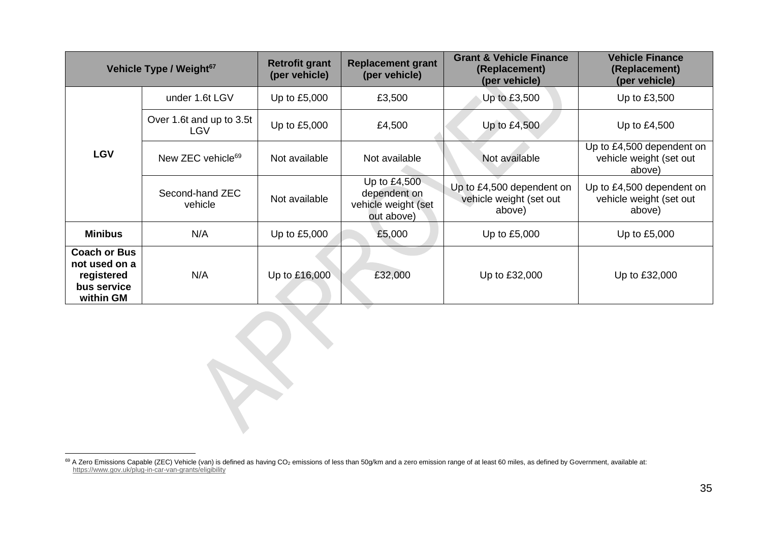| Vehicle Type / Weight <sup>67</sup>                                            |                                        | <b>Retrofit grant</b><br>(per vehicle) | <b>Replacement grant</b><br>(per vehicle)                         | <b>Grant &amp; Vehicle Finance</b><br>(Replacement)<br>(per vehicle) | <b>Vehicle Finance</b><br>(Replacement)<br>(per vehicle)       |
|--------------------------------------------------------------------------------|----------------------------------------|----------------------------------------|-------------------------------------------------------------------|----------------------------------------------------------------------|----------------------------------------------------------------|
| <b>LGV</b>                                                                     | under 1.6t LGV                         | Up to £5,000                           | £3,500                                                            | Up to £3,500                                                         | Up to £3,500                                                   |
|                                                                                | Over 1.6t and up to 3.5t<br><b>LGV</b> | Up to £5,000                           | £4,500                                                            | Up to £4,500                                                         | Up to £4,500                                                   |
|                                                                                | New ZEC vehicle <sup>69</sup>          | Not available                          | Not available                                                     | Not available                                                        | Up to £4,500 dependent on<br>vehicle weight (set out<br>above) |
|                                                                                | Second-hand ZEC<br>vehicle             | Not available                          | Up to £4,500<br>dependent on<br>vehicle weight (set<br>out above) | Up to £4,500 dependent on<br>vehicle weight (set out<br>above)       | Up to £4,500 dependent on<br>vehicle weight (set out<br>above) |
| <b>Minibus</b>                                                                 | N/A                                    | Up to £5,000                           | £5,000                                                            | Up to £5,000                                                         | Up to £5,000                                                   |
| <b>Coach or Bus</b><br>not used on a<br>registered<br>bus service<br>within GM | N/A                                    | Up to £16,000                          | £32,000                                                           | Up to £32,000                                                        | Up to £32,000                                                  |

<sup>69</sup> A Zero Emissions Capable (ZEC) Vehicle (van) is defined as having CO<sub>2</sub> emissions of less than 50g/km and a zero emission range of at least 60 miles, as defined by Government, available at: <https://www.gov.uk/plug-in-car-van-grants/eligibility>